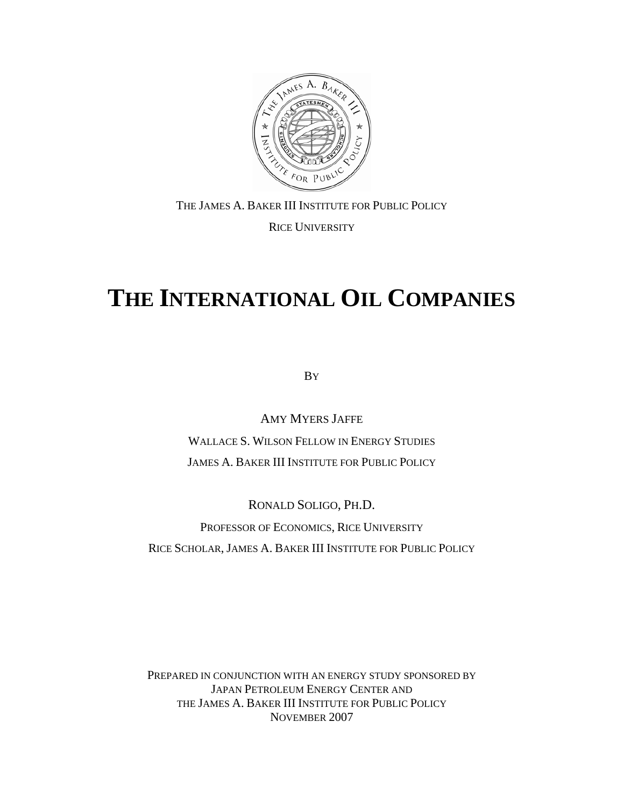<span id="page-0-0"></span>

THE JAMES A. BAKER III INSTITUTE FOR PUBLIC POLICY RICE UNIVERSITY

# **THE INTERNATIONAL OIL COMPANIES**

BY

AMY MYERS JAFFE WALLACE S. WILSON FELLOW IN ENERGY STUDIES JAMES A. BAKER III INSTITUTE FOR PUBLIC POLICY

RONALD SOLIGO, PH.D. PROFESSOR OF ECONOMICS, RICE UNIVERSITY RICE SCHOLAR, JAMES A. BAKER III INSTITUTE FOR PUBLIC POLICY

PREPARED IN CONJUNCTION WITH AN ENERGY STUDY SPONSORED BY JAPAN PETROLEUM ENERGY CENTER AND THE JAMES A. BAKER III INSTITUTE FOR PUBLIC POLICY NOVEMBER 2007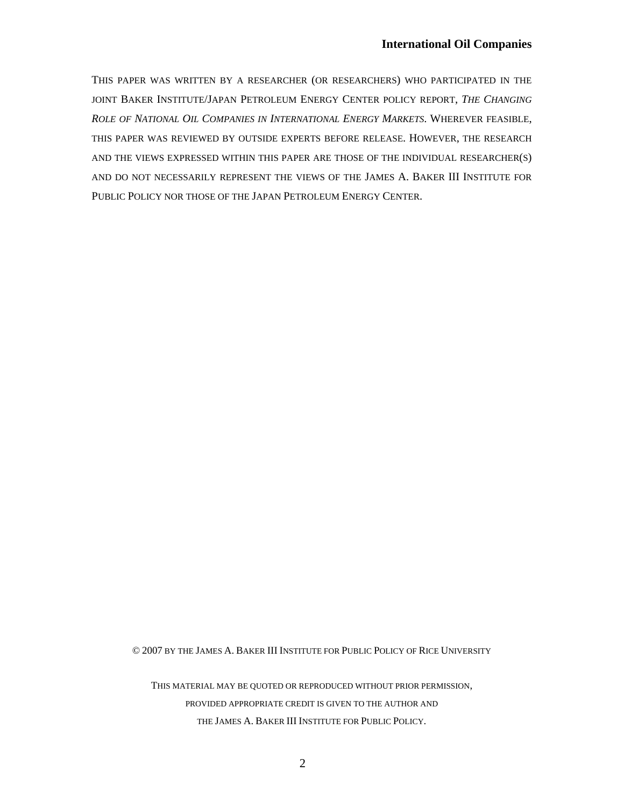THIS PAPER WAS WRITTEN BY A RESEARCHER (OR RESEARCHERS) WHO PARTICIPATED IN THE JOINT BAKER INSTITUTE/JAPAN PETROLEUM ENERGY CENTER POLICY REPORT, *THE CHANGING ROLE OF NATIONAL OIL COMPANIES IN INTERNATIONAL ENERGY MARKETS*. WHEREVER FEASIBLE, THIS PAPER WAS REVIEWED BY OUTSIDE EXPERTS BEFORE RELEASE. HOWEVER, THE RESEARCH AND THE VIEWS EXPRESSED WITHIN THIS PAPER ARE THOSE OF THE INDIVIDUAL RESEARCHER(S) AND DO NOT NECESSARILY REPRESENT THE VIEWS OF THE JAMES A. BAKER III INSTITUTE FOR PUBLIC POLICY NOR THOSE OF THE JAPAN PETROLEUM ENERGY CENTER.

© 2007 BY THE JAMES A. BAKER III INSTITUTE FOR PUBLIC POLICY OF RICE UNIVERSITY

THIS MATERIAL MAY BE QUOTED OR REPRODUCED WITHOUT PRIOR PERMISSION, PROVIDED APPROPRIATE CREDIT IS GIVEN TO THE AUTHOR AND THE JAMES A. BAKER III INSTITUTE FOR PUBLIC POLICY.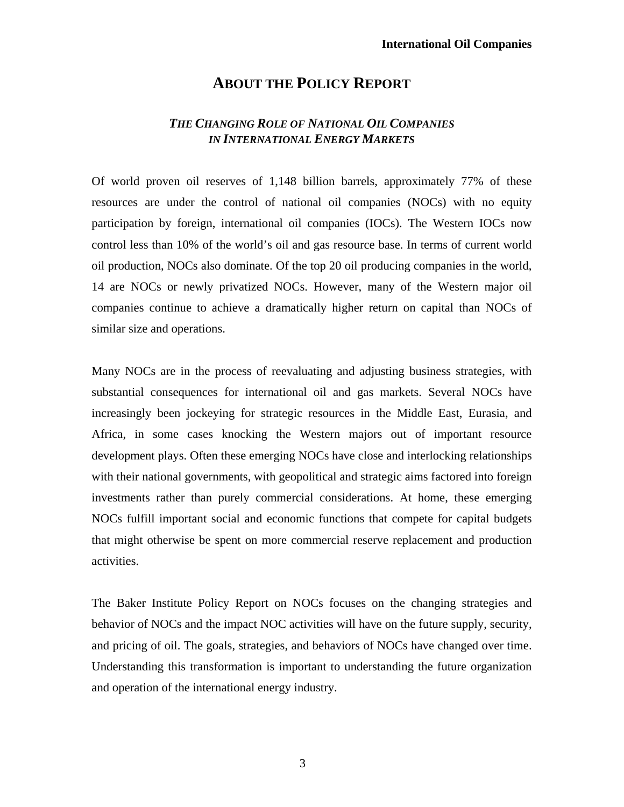# **ABOUT THE POLICY REPORT**

## *THE CHANGING ROLE OF NATIONAL OIL COMPANIES IN INTERNATIONAL ENERGY MARKETS*

Of world proven oil reserves of 1,148 billion barrels, approximately 77% of these resources are under the control of national oil companies (NOCs) with no equity participation by foreign, international oil companies (IOCs). The Western IOCs now control less than 10% of the world's oil and gas resource base. In terms of current world oil production, NOCs also dominate. Of the top 20 oil producing companies in the world, 14 are NOCs or newly privatized NOCs. However, many of the Western major oil companies continue to achieve a dramatically higher return on capital than NOCs of similar size and operations.

Many NOCs are in the process of reevaluating and adjusting business strategies, with substantial consequences for international oil and gas markets. Several NOCs have increasingly been jockeying for strategic resources in the Middle East, Eurasia, and Africa, in some cases knocking the Western majors out of important resource development plays. Often these emerging NOCs have close and interlocking relationships with their national governments, with geopolitical and strategic aims factored into foreign investments rather than purely commercial considerations. At home, these emerging NOCs fulfill important social and economic functions that compete for capital budgets that might otherwise be spent on more commercial reserve replacement and production activities.

The Baker Institute Policy Report on NOCs focuses on the changing strategies and behavior of NOCs and the impact NOC activities will have on the future supply, security, and pricing of oil. The goals, strategies, and behaviors of NOCs have changed over time. Understanding this transformation is important to understanding the future organization and operation of the international energy industry.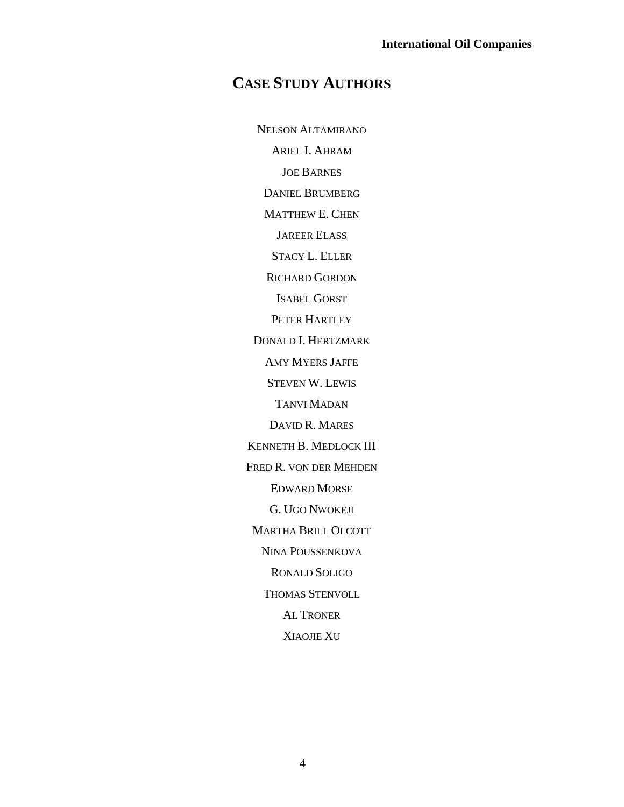# **CASE STUDY AUTHORS**

NELSON ALTAMIRANO ARIEL I. AHRAM JOE BARNES DANIEL BRUMBERG MATTHEW E. CHEN JAREER ELASS STACY L. ELLER RICHARD GORDON ISABEL GORST PETER HARTLEY DONALD I. HERTZMARK AMY MYERS JAFFE STEVEN W. LEWIS TANVI MADAN DAVID R. MARES KENNETH B. MEDLOCK III FRED R. VON DER MEHDEN EDWARD MORSE G. UGO NWOKEJI MARTHA BRILL OLCOTT NINA POUSSENKOVA RONALD SOLIGO THOMAS STENVOLL AL TRONER XIAOJIE XU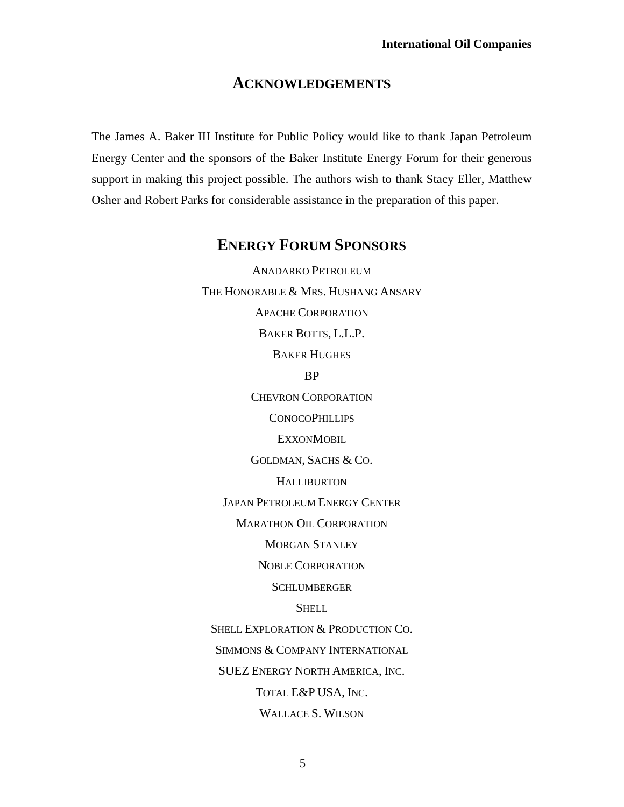## **ACKNOWLEDGEMENTS**

The James A. Baker III Institute for Public Policy would like to thank Japan Petroleum Energy Center and the sponsors of the Baker Institute Energy Forum for their generous support in making this project possible. The authors wish to thank Stacy Eller, Matthew Osher and Robert Parks for considerable assistance in the preparation of this paper.

# **ENERGY FORUM SPONSORS**

ANADARKO PETROLEUM THE HONORABLE & MRS. HUSHANG ANSARY APACHE CORPORATION BAKER BOTTS, L.L.P. BAKER HUGHES BP CHEVRON CORPORATION **CONOCOPHILLIPS EXXONMOBIL** GOLDMAN, SACHS & CO. **HALLIBURTON** JAPAN PETROLEUM ENERGY CENTER MARATHON OIL CORPORATION MORGAN STANLEY NOBLE CORPORATION **SCHLUMBERGER SHELL** SHELL EXPLORATION & PRODUCTION CO. SIMMONS & COMPANY INTERNATIONAL SUEZ ENERGY NORTH AMERICA, INC. TOTAL E&P USA, INC. WALLACE S. WILSON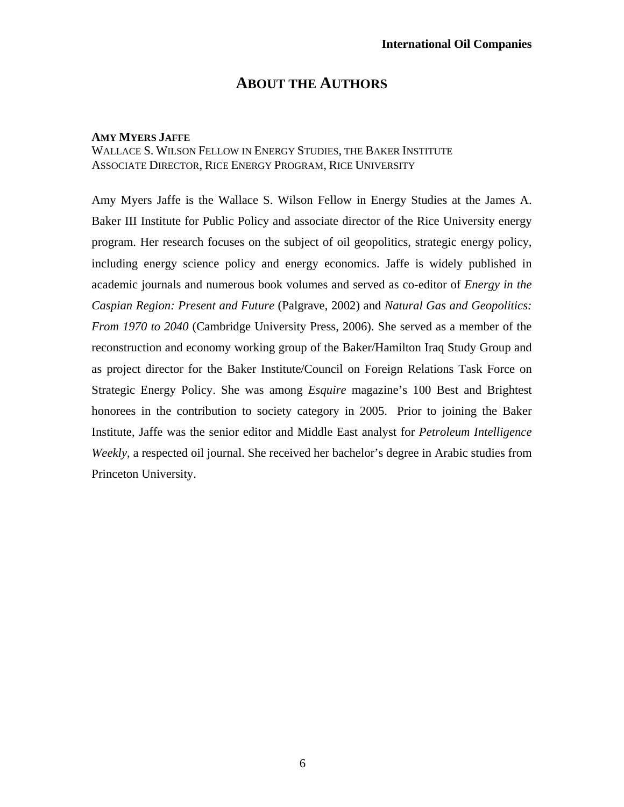# **ABOUT THE AUTHORS**

#### **AMY MYERS JAFFE**

## WALLACE S. WILSON FELLOW IN ENERGY STUDIES, THE BAKER INSTITUTE ASSOCIATE DIRECTOR, RICE ENERGY PROGRAM, RICE UNIVERSITY

Amy Myers Jaffe is the Wallace S. Wilson Fellow in Energy Studies at the James A. Baker III Institute for Public Policy and associate director of the Rice University energy program. Her research focuses on the subject of oil geopolitics, strategic energy policy, including energy science policy and energy economics. Jaffe is widely published in academic journals and numerous book volumes and served as co-editor of *Energy in the Caspian Region: Present and Future* (Palgrave, 2002) and *Natural Gas and Geopolitics: From 1970 to 2040* (Cambridge University Press, 2006). She served as a member of the reconstruction and economy working group of the Baker/Hamilton Iraq Study Group and as project director for the Baker Institute/Council on Foreign Relations Task Force on Strategic Energy Policy. She was among *Esquire* magazine's 100 Best and Brightest honorees in the contribution to society category in 2005. Prior to joining the Baker Institute, Jaffe was the senior editor and Middle East analyst for *Petroleum Intelligence Weekly*, a respected oil journal. She received her bachelor's degree in Arabic studies from Princeton University.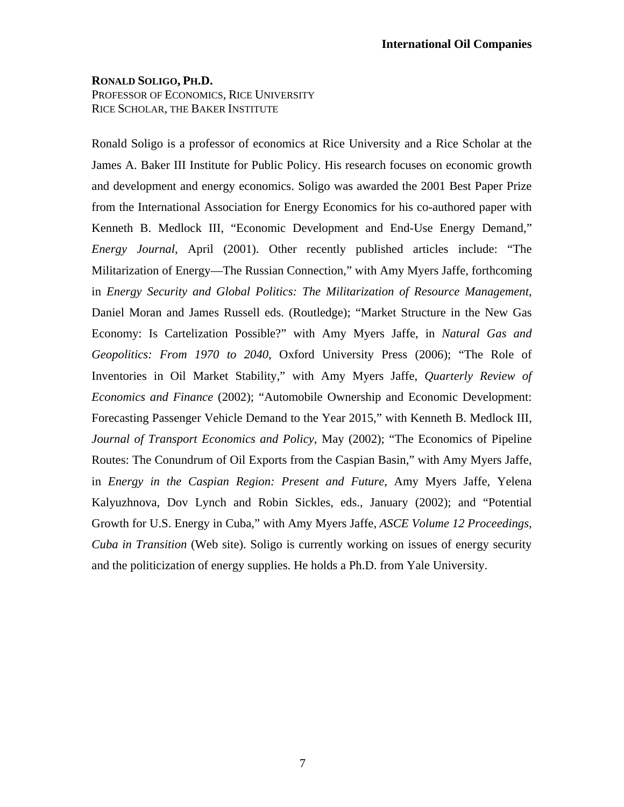### **RONALD SOLIGO, PH.D.**  PROFESSOR OF ECONOMICS, RICE UNIVERSITY

RICE SCHOLAR, THE BAKER INSTITUTE

Ronald Soligo is a professor of economics at Rice University and a Rice Scholar at the James A. Baker III Institute for Public Policy. His research focuses on economic growth and development and energy economics. Soligo was awarded the 2001 Best Paper Prize from the International Association for Energy Economics for his co-authored paper with Kenneth B. Medlock III, "Economic Development and End-Use Energy Demand," *Energy Journal*, April (2001). Other recently published articles include: "The Militarization of Energy—The Russian Connection," with Amy Myers Jaffe, forthcoming in *Energy Security and Global Politics: The Militarization of Resource Management*, Daniel Moran and James Russell eds. (Routledge); "Market Structure in the New Gas Economy: Is Cartelization Possible?" with Amy Myers Jaffe, in *Natural Gas and Geopolitics: From 1970 to 2040*, Oxford University Press (2006); "The Role of Inventories in Oil Market Stability," with Amy Myers Jaffe, *Quarterly Review of Economics and Finance* (2002); "Automobile Ownership and Economic Development: Forecasting Passenger Vehicle Demand to the Year 2015," with Kenneth B. Medlock III, *Journal of Transport Economics and Policy*, May (2002); "The Economics of Pipeline Routes: The Conundrum of Oil Exports from the Caspian Basin," with Amy Myers Jaffe, in *Energy in the Caspian Region: Present and Future*, Amy Myers Jaffe, Yelena Kalyuzhnova, Dov Lynch and Robin Sickles, eds., January (2002); and "Potential Growth for U.S. Energy in Cuba," with Amy Myers Jaffe, *ASCE Volume 12 Proceedings, Cuba in Transition* (Web site). Soligo is currently working on issues of energy security and the politicization of energy supplies. He holds a Ph.D. from Yale University.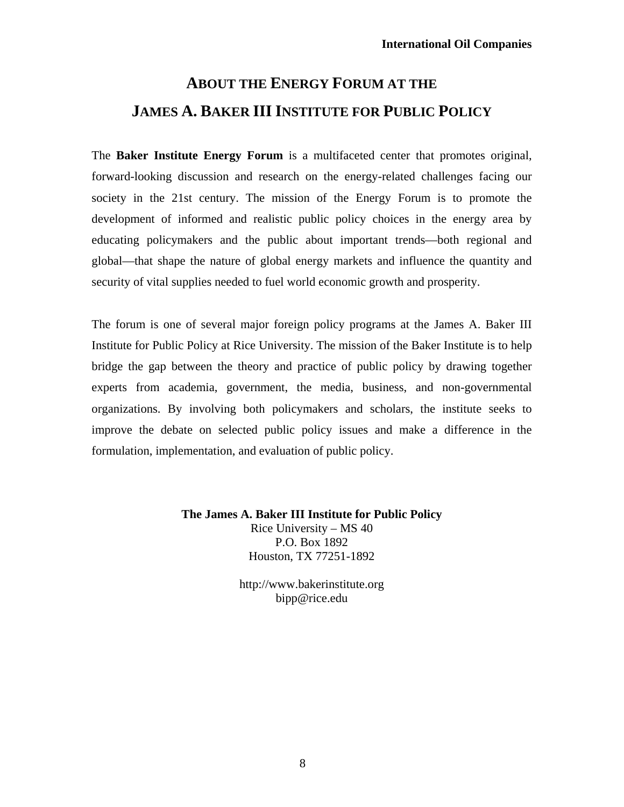# **ABOUT THE ENERGY FORUM AT THE JAMES A. BAKER III INSTITUTE FOR PUBLIC POLICY**

The **Baker Institute Energy Forum** is a multifaceted center that promotes original, forward-looking discussion and research on the energy-related challenges facing our society in the 21st century. The mission of the Energy Forum is to promote the development of informed and realistic public policy choices in the energy area by educating policymakers and the public about important trends—both regional and global—that shape the nature of global energy markets and influence the quantity and security of vital supplies needed to fuel world economic growth and prosperity.

The forum is one of several major foreign policy programs at the James A. Baker III Institute for Public Policy at Rice University. The mission of the Baker Institute is to help bridge the gap between the theory and practice of public policy by drawing together experts from academia, government, the media, business, and non-governmental organizations. By involving both policymakers and scholars, the institute seeks to improve the debate on selected public policy issues and make a difference in the formulation, implementation, and evaluation of public policy.

> **The James A. Baker III Institute for Public Policy** Rice University – MS 40 P.O. Box 1892 Houston, TX 77251-1892

> > http://www.bakerinstitute.org bipp@rice.edu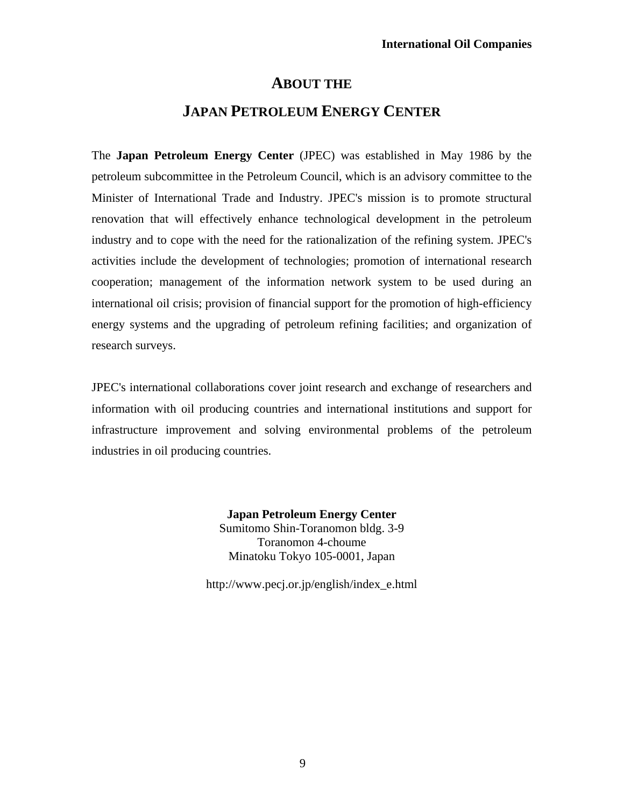## **ABOUT THE**

# **JAPAN PETROLEUM ENERGY CENTER**

The **Japan Petroleum Energy Center** (JPEC) was established in May 1986 by the petroleum subcommittee in the Petroleum Council, which is an advisory committee to the Minister of International Trade and Industry. JPEC's mission is to promote structural renovation that will effectively enhance technological development in the petroleum industry and to cope with the need for the rationalization of the refining system. JPEC's activities include the development of technologies; promotion of international research cooperation; management of the information network system to be used during an international oil crisis; provision of financial support for the promotion of high-efficiency energy systems and the upgrading of petroleum refining facilities; and organization of research surveys.

JPEC's international collaborations cover joint research and exchange of researchers and information with oil producing countries and international institutions and support for infrastructure improvement and solving environmental problems of the petroleum industries in oil producing countries.

> **Japan Petroleum Energy Center** Sumitomo Shin-Toranomon bldg. 3-9 Toranomon 4-choume Minatoku Tokyo 105-0001, Japan

http://www.pecj.or.jp/english/index\_e.html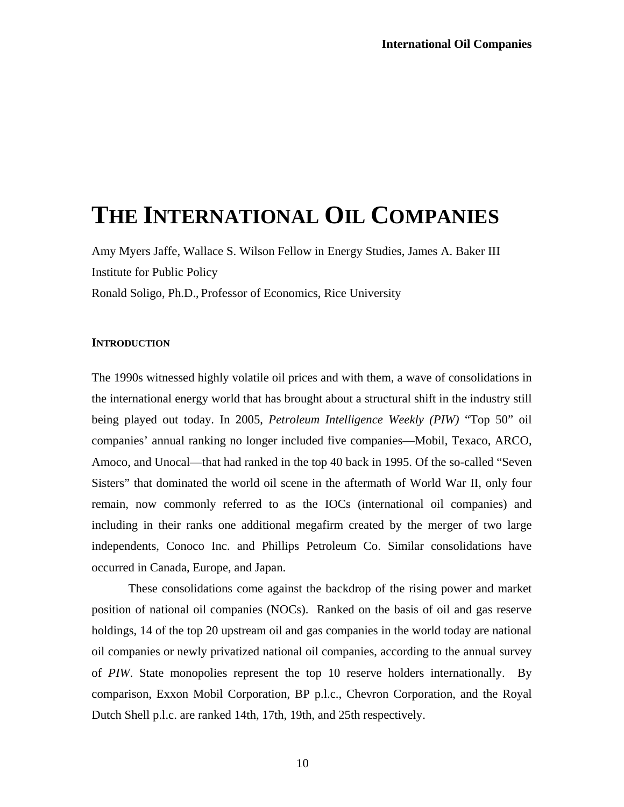# **THE INTERNATIONAL OIL COMPANIES**

Amy Myers Jaffe, Wallace S. Wilson Fellow in Energy Studies, James A. Baker III Institute for Public Policy

Ronald Soligo, Ph.D., Professor of Economics, Rice University

### **INTRODUCTION**

The 1990s witnessed highly volatile oil prices and with them, a wave of consolidations in the international energy world that has brought about a structural shift in the industry still being played out today. In 2005, *Petroleum Intelligence Weekly (PIW)* "Top 50" oil companies' annual ranking no longer included five companies—Mobil, Texaco, ARCO, Amoco, and Unocal—that had ranked in the top 40 back in 1995. Of the so-called "Seven Sisters" that dominated the world oil scene in the aftermath of World War II, only four remain, now commonly referred to as the IOCs (international oil companies) and including in their ranks one additional megafirm created by the merger of two large independents, Conoco Inc. and Phillips Petroleum Co. Similar consolidations have occurred in Canada, Europe, and Japan.

These consolidations come against the backdrop of the rising power and market position of national oil companies (NOCs). Ranked on the basis of oil and gas reserve holdings, 14 of the top 20 upstream oil and gas companies in the world today are national oil companies or newly privatized national oil companies, according to the annual survey of *PIW*. State monopolies represent the top 10 reserve holders internationally. By comparison, Exxon Mobil Corporation, BP p.l.c., Chevron Corporation, and the Royal Dutch Shell p.l.c. are ranked 14th, 17th, 19th, and 25th respectively.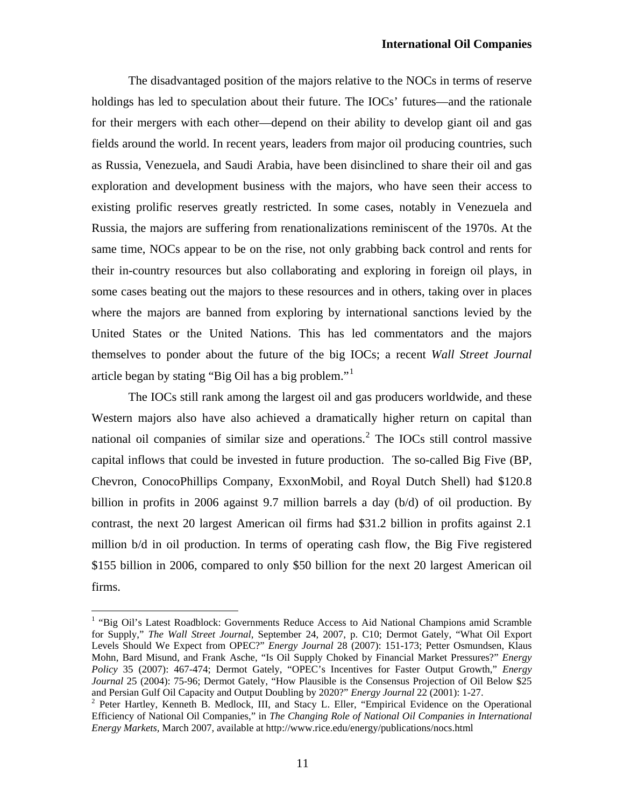The disadvantaged position of the majors relative to the NOCs in terms of reserve holdings has led to speculation about their future. The IOCs' futures—and the rationale for their mergers with each other—depend on their ability to develop giant oil and gas fields around the world. In recent years, leaders from major oil producing countries, such as Russia, Venezuela, and Saudi Arabia, have been disinclined to share their oil and gas exploration and development business with the majors, who have seen their access to existing prolific reserves greatly restricted. In some cases, notably in Venezuela and Russia, the majors are suffering from renationalizations reminiscent of the 1970s. At the same time, NOCs appear to be on the rise, not only grabbing back control and rents for their in-country resources but also collaborating and exploring in foreign oil plays, in some cases beating out the majors to these resources and in others, taking over in places where the majors are banned from exploring by international sanctions levied by the United States or the United Nations. This has led commentators and the majors themselves to ponder about the future of the big IOCs; a recent *Wall Street Journal* article began by stating "Big Oil has a big problem."[1](#page-10-0)

The IOCs still rank among the largest oil and gas producers worldwide, and these Western majors also have also achieved a dramatically higher return on capital than national oil companies of similar size and operations.<sup>[2](#page-10-1)</sup> The IOCs still control massive capital inflows that could be invested in future production. The so-called Big Five (BP, Chevron, ConocoPhillips Company, ExxonMobil, and Royal Dutch Shell) had \$120.8 billion in profits in 2006 against 9.7 million barrels a day (b/d) of oil production. By contrast, the next 20 largest American oil firms had \$31.2 billion in profits against 2.1 million b/d in oil production. In terms of operating cash flow, the Big Five registered \$155 billion in 2006, compared to only \$50 billion for the next 20 largest American oil firms.

 $\overline{a}$ 

<span id="page-10-0"></span><sup>&</sup>lt;sup>1</sup> "Big Oil's Latest Roadblock: Governments Reduce Access to Aid National Champions amid Scramble for Supply," *The Wall Street Journal*, September 24, 2007, p. C10; Dermot Gately, "What Oil Export Levels Should We Expect from OPEC?" *Energy Journal* 28 (2007): 151-173; Petter Osmundsen, Klaus Mohn, Bard Misund, and Frank Asche, "Is Oil Supply Choked by Financial Market Pressures?" *Energy Policy* 35 (2007): 467-474; Dermot Gately, "OPEC's Incentives for Faster Output Growth," *Energy Journal* 25 (2004): 75-96; Dermot Gately, "How Plausible is the Consensus Projection of Oil Below \$25 and Persian Gulf Oil Capacity and Output Doubling by 2020?" *Energy Journal* 22 (2001): 1-27. 2

<span id="page-10-1"></span><sup>&</sup>lt;sup>2</sup> Peter Hartley, Kenneth B. Medlock, III, and Stacy L. Eller, "Empirical Evidence on the Operational Efficiency of National Oil Companies," in *The Changing Role of National Oil Companies in International Energy Markets,* March 2007, available at http://www.rice.edu/energy/publications/nocs.html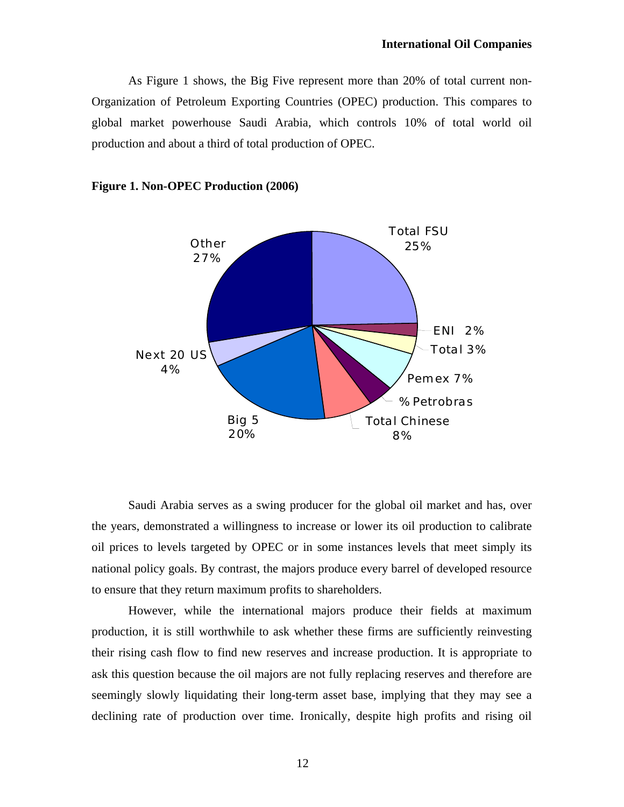As Figure 1 shows, the Big Five represent more than 20% of total current non-Organization of Petroleum Exporting Countries (OPEC) production. This compares to global market powerhouse Saudi Arabia, which controls 10% of total world oil production and about a third of total production of OPEC.



### **Figure 1. Non-OPEC Production (2006)**

Saudi Arabia serves as a swing producer for the global oil market and has, over the years, demonstrated a willingness to increase or lower its oil production to calibrate oil prices to levels targeted by OPEC or in some instances levels that meet simply its national policy goals. By contrast, the majors produce every barrel of developed resource to ensure that they return maximum profits to shareholders.

However, while the international majors produce their fields at maximum production, it is still worthwhile to ask whether these firms are sufficiently reinvesting their rising cash flow to find new reserves and increase production. It is appropriate to ask this question because the oil majors are not fully replacing reserves and therefore are seemingly slowly liquidating their long-term asset base, implying that they may see a declining rate of production over time. Ironically, despite high profits and rising oil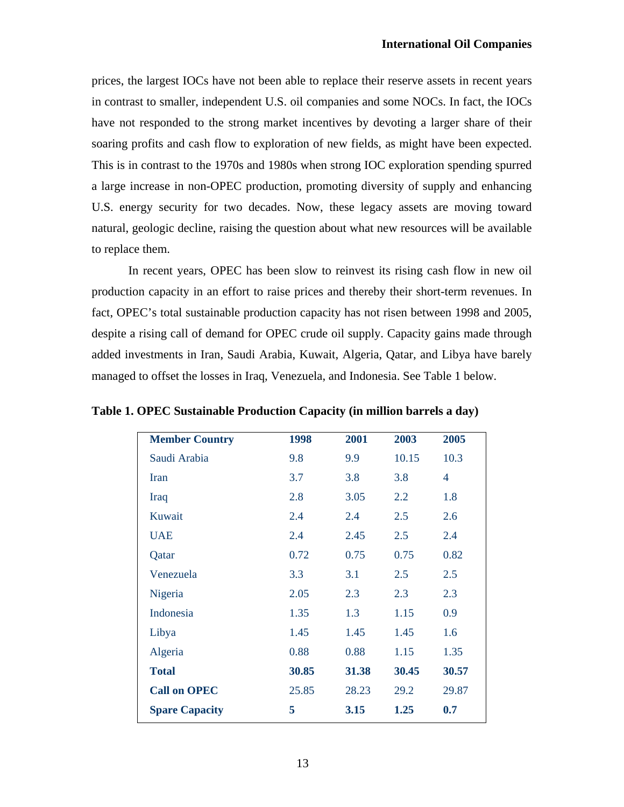prices, the largest IOCs have not been able to replace their reserve assets in recent years in contrast to smaller, independent U.S. oil companies and some NOCs. In fact, the IOCs have not responded to the strong market incentives by devoting a larger share of their soaring profits and cash flow to exploration of new fields, as might have been expected. This is in contrast to the 1970s and 1980s when strong IOC exploration spending spurred a large increase in non-OPEC production, promoting diversity of supply and enhancing U.S. energy security for two decades. Now, these legacy assets are moving toward natural, geologic decline, raising the question about what new resources will be available to replace them.

In recent years, OPEC has been slow to reinvest its rising cash flow in new oil production capacity in an effort to raise prices and thereby their short-term revenues. In fact, OPEC's total sustainable production capacity has not risen between 1998 and 2005, despite a rising call of demand for OPEC crude oil supply. Capacity gains made through added investments in Iran, Saudi Arabia, Kuwait, Algeria, Qatar, and Libya have barely managed to offset the losses in Iraq, Venezuela, and Indonesia. See Table 1 below.

| <b>Member Country</b> | 1998  | 2001  | 2003    | 2005  |
|-----------------------|-------|-------|---------|-------|
| Saudi Arabia          | 9.8   | 9.9   | 10.15   | 10.3  |
| <b>Iran</b>           | 3.7   | 3.8   | 3.8     | 4     |
| Iraq                  | 2.8   | 3.05  | $2.2\,$ | 1.8   |
| Kuwait                | 2.4   | 2.4   | 2.5     | 2.6   |
| <b>UAE</b>            | 2.4   | 2.45  | 2.5     | 2.4   |
| Qatar                 | 0.72  | 0.75  | 0.75    | 0.82  |
| Venezuela             | 3.3   | 3.1   | 2.5     | 2.5   |
| Nigeria               | 2.05  | 2.3   | 2.3     | 2.3   |
| Indonesia             | 1.35  | 1.3   | 1.15    | 0.9   |
| Libya                 | 1.45  | 1.45  | 1.45    | 1.6   |
| Algeria               | 0.88  | 0.88  | 1.15    | 1.35  |
| <b>Total</b>          | 30.85 | 31.38 | 30.45   | 30.57 |
| <b>Call on OPEC</b>   | 25.85 | 28.23 | 29.2    | 29.87 |
| <b>Spare Capacity</b> | 5     | 3.15  | 1.25    | 0.7   |

**Table 1. OPEC Sustainable Production Capacity (in million barrels a day)**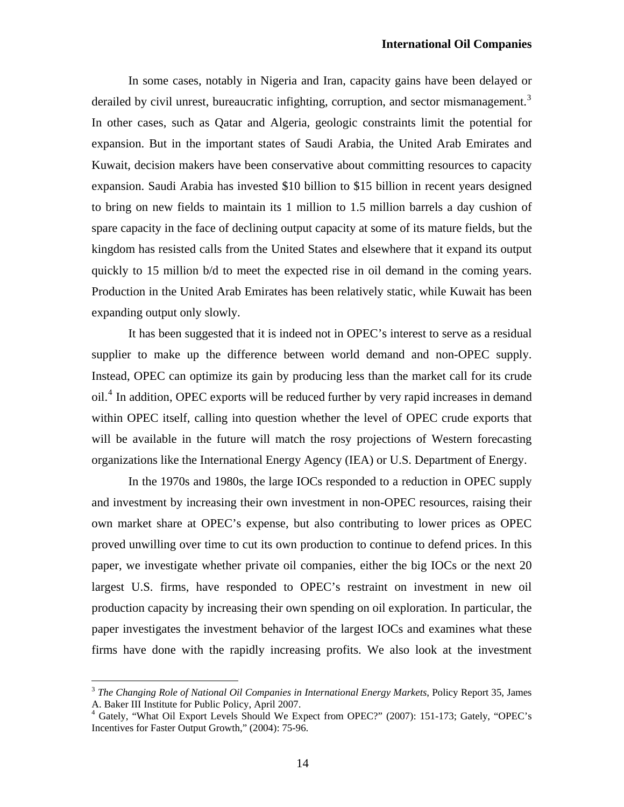In some cases, notably in Nigeria and Iran, capacity gains have been delayed or derailed by civil unrest, bureaucratic infighting, corruption, and sector mismanagement.<sup>[3](#page-13-0)</sup> In other cases, such as Qatar and Algeria, geologic constraints limit the potential for expansion. But in the important states of Saudi Arabia, the United Arab Emirates and Kuwait, decision makers have been conservative about committing resources to capacity expansion. Saudi Arabia has invested \$10 billion to \$15 billion in recent years designed to bring on new fields to maintain its 1 million to 1.5 million barrels a day cushion of spare capacity in the face of declining output capacity at some of its mature fields, but the kingdom has resisted calls from the United States and elsewhere that it expand its output quickly to 15 million b/d to meet the expected rise in oil demand in the coming years. Production in the United Arab Emirates has been relatively static, while Kuwait has been expanding output only slowly.

It has been suggested that it is indeed not in OPEC's interest to serve as a residual supplier to make up the difference between world demand and non-OPEC supply. Instead, OPEC can optimize its gain by producing less than the market call for its crude oil.<sup>[4](#page-13-1)</sup> In addition, OPEC exports will be reduced further by very rapid increases in demand within OPEC itself, calling into question whether the level of OPEC crude exports that will be available in the future will match the rosy projections of Western forecasting organizations like the International Energy Agency (IEA) or U.S. Department of Energy.

In the 1970s and 1980s, the large IOCs responded to a reduction in OPEC supply and investment by increasing their own investment in non-OPEC resources, raising their own market share at OPEC's expense, but also contributing to lower prices as OPEC proved unwilling over time to cut its own production to continue to defend prices. In this paper, we investigate whether private oil companies, either the big IOCs or the next 20 largest U.S. firms, have responded to OPEC's restraint on investment in new oil production capacity by increasing their own spending on oil exploration. In particular, the paper investigates the investment behavior of the largest IOCs and examines what these firms have done with the rapidly increasing profits. We also look at the investment

 $\overline{a}$ 

<span id="page-13-0"></span><sup>3</sup> *The Changing Role of National Oil Companies in International Energy Markets*, Policy Report 35, James A. Baker III Institute for Public Policy, April 2007.

<span id="page-13-1"></span><sup>4</sup> Gately, "What Oil Export Levels Should We Expect from OPEC?" (2007): 151-173; Gately, "OPEC's Incentives for Faster Output Growth," (2004): 75-96.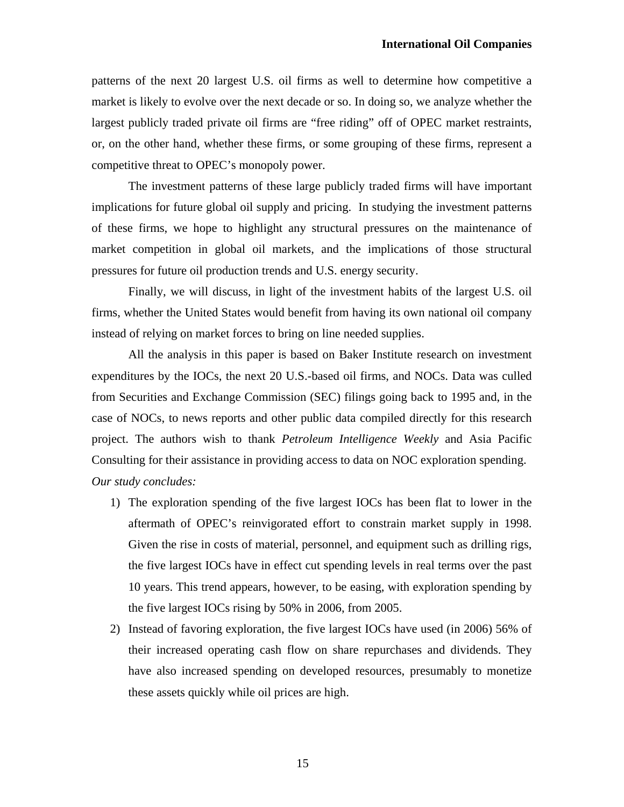patterns of the next 20 largest U.S. oil firms as well to determine how competitive a market is likely to evolve over the next decade or so. In doing so, we analyze whether the largest publicly traded private oil firms are "free riding" off of OPEC market restraints, or, on the other hand, whether these firms, or some grouping of these firms, represent a competitive threat to OPEC's monopoly power.

The investment patterns of these large publicly traded firms will have important implications for future global oil supply and pricing. In studying the investment patterns of these firms, we hope to highlight any structural pressures on the maintenance of market competition in global oil markets, and the implications of those structural pressures for future oil production trends and U.S. energy security.

Finally, we will discuss, in light of the investment habits of the largest U.S. oil firms, whether the United States would benefit from having its own national oil company instead of relying on market forces to bring on line needed supplies.

All the analysis in this paper is based on Baker Institute research on investment expenditures by the IOCs, the next 20 U.S.-based oil firms, and NOCs. Data was culled from Securities and Exchange Commission (SEC) filings going back to 1995 and, in the case of NOCs, to news reports and other public data compiled directly for this research project. The authors wish to thank *Petroleum Intelligence Weekly* and Asia Pacific Consulting for their assistance in providing access to data on NOC exploration spending. *Our study concludes:* 

- 1) The exploration spending of the five largest IOCs has been flat to lower in the aftermath of OPEC's reinvigorated effort to constrain market supply in 1998. Given the rise in costs of material, personnel, and equipment such as drilling rigs, the five largest IOCs have in effect cut spending levels in real terms over the past 10 years. This trend appears, however, to be easing, with exploration spending by the five largest IOCs rising by 50% in 2006, from 2005.
- 2) Instead of favoring exploration, the five largest IOCs have used (in 2006) 56% of their increased operating cash flow on share repurchases and dividends. They have also increased spending on developed resources, presumably to monetize these assets quickly while oil prices are high.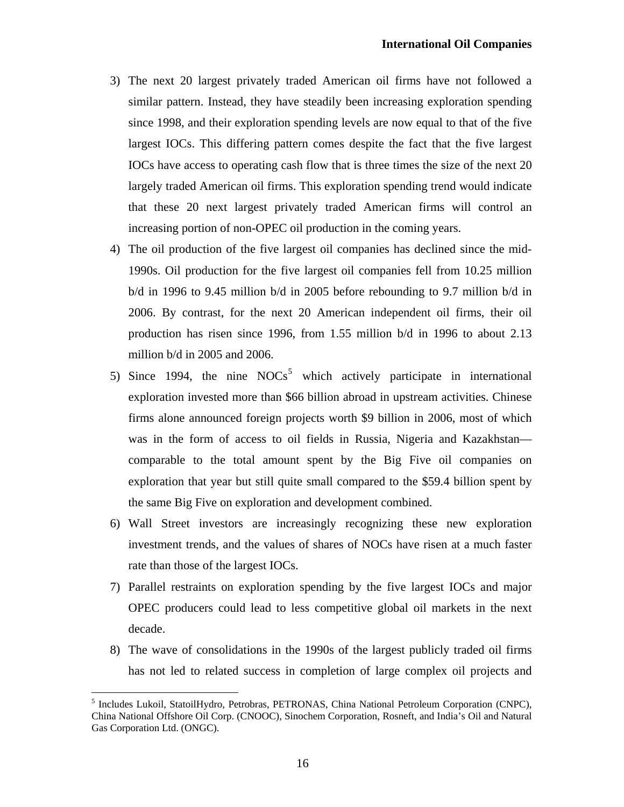- 3) The next 20 largest privately traded American oil firms have not followed a similar pattern. Instead, they have steadily been increasing exploration spending since 1998, and their exploration spending levels are now equal to that of the five largest IOCs. This differing pattern comes despite the fact that the five largest IOCs have access to operating cash flow that is three times the size of the next 20 largely traded American oil firms. This exploration spending trend would indicate that these 20 next largest privately traded American firms will control an increasing portion of non-OPEC oil production in the coming years.
- 4) The oil production of the five largest oil companies has declined since the mid-1990s. Oil production for the five largest oil companies fell from 10.25 million b/d in 1996 to 9.45 million b/d in 2005 before rebounding to 9.7 million b/d in 2006. By contrast, for the next 20 American independent oil firms, their oil production has risen since 1996, from 1.55 million b/d in 1996 to about 2.13 million b/d in 2005 and 2006.
- [5](#page-15-0)) Since 1994, the nine  $NOCs<sup>5</sup>$  which actively participate in international exploration invested more than \$66 billion abroad in upstream activities. Chinese firms alone announced foreign projects worth \$9 billion in 2006, most of which was in the form of access to oil fields in Russia, Nigeria and Kazakhstan comparable to the total amount spent by the Big Five oil companies on exploration that year but still quite small compared to the \$59.4 billion spent by the same Big Five on exploration and development combined.
- 6) Wall Street investors are increasingly recognizing these new exploration investment trends, and the values of shares of NOCs have risen at a much faster rate than those of the largest IOCs.
- 7) Parallel restraints on exploration spending by the five largest IOCs and major OPEC producers could lead to less competitive global oil markets in the next decade.
- 8) The wave of consolidations in the 1990s of the largest publicly traded oil firms has not led to related success in completion of large complex oil projects and

 $\overline{a}$ 

<span id="page-15-0"></span><sup>&</sup>lt;sup>5</sup> Includes Lukoil, StatoilHydro, Petrobras, PETRONAS, China National Petroleum Corporation (CNPC), China National Offshore Oil Corp. (CNOOC), Sinochem Corporation, Rosneft, and India's Oil and Natural Gas Corporation Ltd. (ONGC).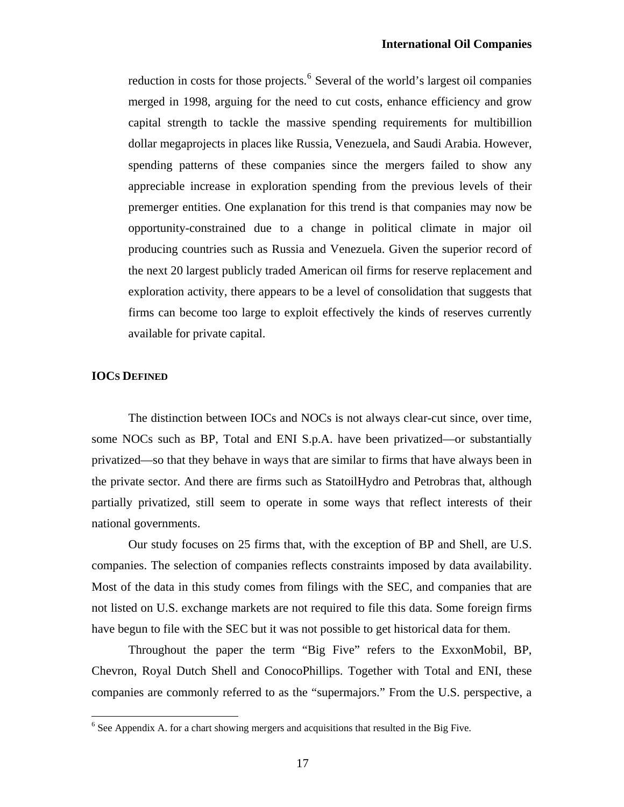reduction in costs for those projects.<sup>[6](#page-16-0)</sup> Several of the world's largest oil companies merged in 1998, arguing for the need to cut costs, enhance efficiency and grow capital strength to tackle the massive spending requirements for multibillion dollar megaprojects in places like Russia, Venezuela, and Saudi Arabia. However, spending patterns of these companies since the mergers failed to show any appreciable increase in exploration spending from the previous levels of their premerger entities. One explanation for this trend is that companies may now be opportunity-constrained due to a change in political climate in major oil producing countries such as Russia and Venezuela. Given the superior record of the next 20 largest publicly traded American oil firms for reserve replacement and exploration activity, there appears to be a level of consolidation that suggests that firms can become too large to exploit effectively the kinds of reserves currently available for private capital.

### **IOCS DEFINED**

 $\overline{a}$ 

The distinction between IOCs and NOCs is not always clear-cut since, over time, some NOCs such as BP, Total and ENI S.p.A. have been privatized—or substantially privatized—so that they behave in ways that are similar to firms that have always been in the private sector. And there are firms such as StatoilHydro and Petrobras that, although partially privatized, still seem to operate in some ways that reflect interests of their national governments.

Our study focuses on 25 firms that, with the exception of BP and Shell, are U.S. companies. The selection of companies reflects constraints imposed by data availability. Most of the data in this study comes from filings with the SEC, and companies that are not listed on U.S. exchange markets are not required to file this data. Some foreign firms have begun to file with the SEC but it was not possible to get historical data for them.

Throughout the paper the term "Big Five" refers to the ExxonMobil, BP, Chevron, Royal Dutch Shell and ConocoPhillips. Together with Total and ENI, these companies are commonly referred to as the "supermajors." From the U.S. perspective, a

<span id="page-16-0"></span> $<sup>6</sup>$  See Appendix A. for a chart showing mergers and acquisitions that resulted in the Big Five.</sup>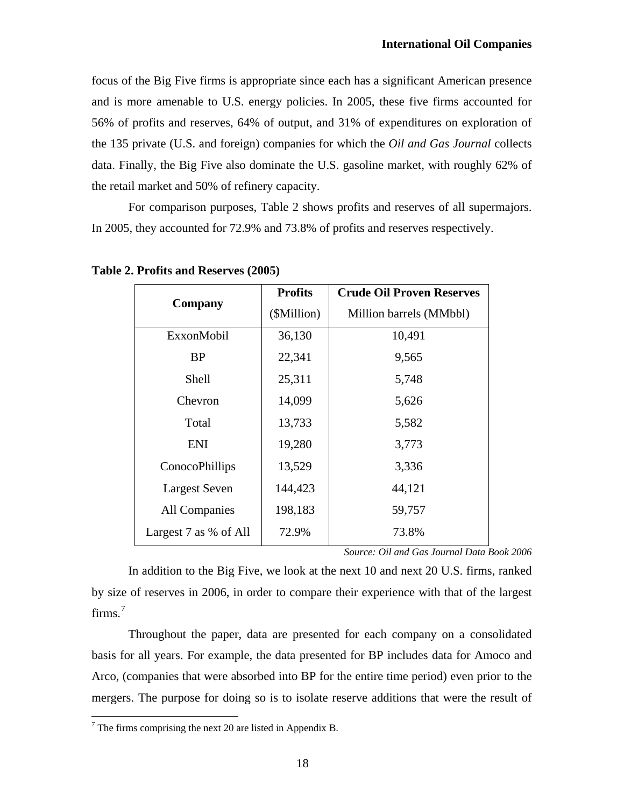focus of the Big Five firms is appropriate since each has a significant American presence and is more amenable to U.S. energy policies. In 2005, these five firms accounted for 56% of profits and reserves, 64% of output, and 31% of expenditures on exploration of the 135 private (U.S. and foreign) companies for which the *Oil and Gas Journal* collects data. Finally, the Big Five also dominate the U.S. gasoline market, with roughly 62% of the retail market and 50% of refinery capacity.

For comparison purposes, Table 2 shows profits and reserves of all supermajors. In 2005, they accounted for 72.9% and 73.8% of profits and reserves respectively.

|                       | <b>Profits</b> | <b>Crude Oil Proven Reserves</b> |  |  |  |
|-----------------------|----------------|----------------------------------|--|--|--|
| Company               | (\$Million)    | Million barrels (MMbbl)          |  |  |  |
| ExxonMobil            | 36,130         | 10,491                           |  |  |  |
| <b>BP</b>             | 22,341         | 9,565                            |  |  |  |
| <b>Shell</b>          | 25,311         | 5,748                            |  |  |  |
| Chevron               | 14,099         | 5,626                            |  |  |  |
| Total                 | 13,733         | 5,582                            |  |  |  |
| <b>ENI</b>            | 19,280         | 3,773                            |  |  |  |
| ConocoPhillips        | 13,529         | 3,336                            |  |  |  |
| <b>Largest Seven</b>  | 144,423        | 44,121                           |  |  |  |
| <b>All Companies</b>  | 198,183        | 59,757                           |  |  |  |
| Largest 7 as % of All | 72.9%          | 73.8%                            |  |  |  |

**Table 2. Profits and Reserves (2005)** 

*Source: Oil and Gas Journal Data Book 2006* 

In addition to the Big Five, we look at the next 10 and next 20 U.S. firms, ranked by size of reserves in 2006, in order to compare their experience with that of the largest firms. $^7$  $^7$ 

Throughout the paper, data are presented for each company on a consolidated basis for all years. For example, the data presented for BP includes data for Amoco and Arco, (companies that were absorbed into BP for the entire time period) even prior to the mergers. The purpose for doing so is to isolate reserve additions that were the result of

<span id="page-17-0"></span><sup>&</sup>lt;sup>7</sup> The firms comprising the next 20 are listed in Appendix B.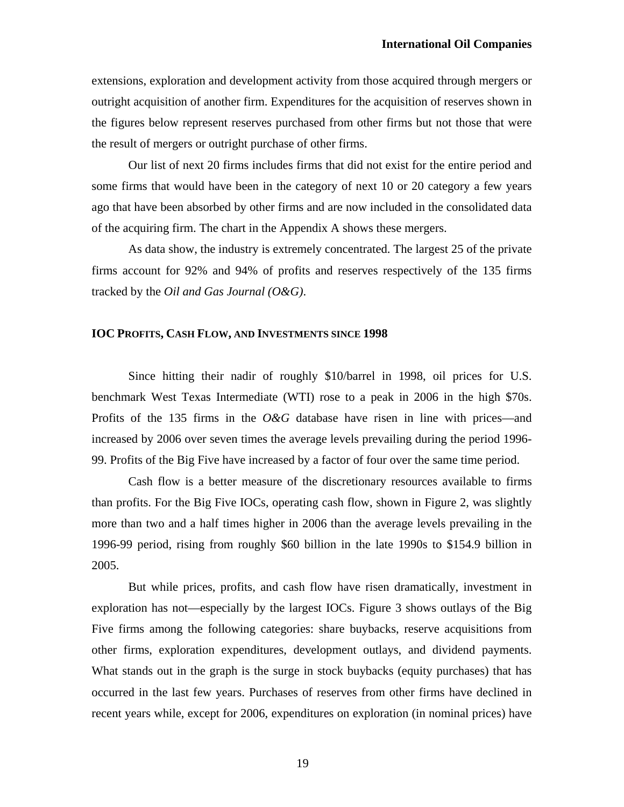extensions, exploration and development activity from those acquired through mergers or outright acquisition of another firm. Expenditures for the acquisition of reserves shown in the figures below represent reserves purchased from other firms but not those that were the result of mergers or outright purchase of other firms.

Our list of next 20 firms includes firms that did not exist for the entire period and some firms that would have been in the category of next 10 or 20 category a few years ago that have been absorbed by other firms and are now included in the consolidated data of the acquiring firm. The chart in the Appendix A shows these mergers.

As data show, the industry is extremely concentrated. The largest 25 of the private firms account for 92% and 94% of profits and reserves respectively of the 135 firms tracked by the *Oil and Gas Journal (O&G)*.

### **IOC PROFITS, CASH FLOW, AND INVESTMENTS SINCE 1998**

Since hitting their nadir of roughly \$10/barrel in 1998, oil prices for U.S. benchmark West Texas Intermediate (WTI) rose to a peak in 2006 in the high \$70s. Profits of the 135 firms in the *O&G* database have risen in line with prices—and increased by 2006 over seven times the average levels prevailing during the period 1996- 99. Profits of the Big Five have increased by a factor of four over the same time period.

Cash flow is a better measure of the discretionary resources available to firms than profits. For the Big Five IOCs, operating cash flow, shown in Figure 2, was slightly more than two and a half times higher in 2006 than the average levels prevailing in the 1996-99 period, rising from roughly \$60 billion in the late 1990s to \$154.9 billion in 2005.

But while prices, profits, and cash flow have risen dramatically, investment in exploration has not—especially by the largest IOCs. Figure 3 shows outlays of the Big Five firms among the following categories: share buybacks, reserve acquisitions from other firms, exploration expenditures, development outlays, and dividend payments. What stands out in the graph is the surge in stock buybacks (equity purchases) that has occurred in the last few years. Purchases of reserves from other firms have declined in recent years while, except for 2006, expenditures on exploration (in nominal prices) have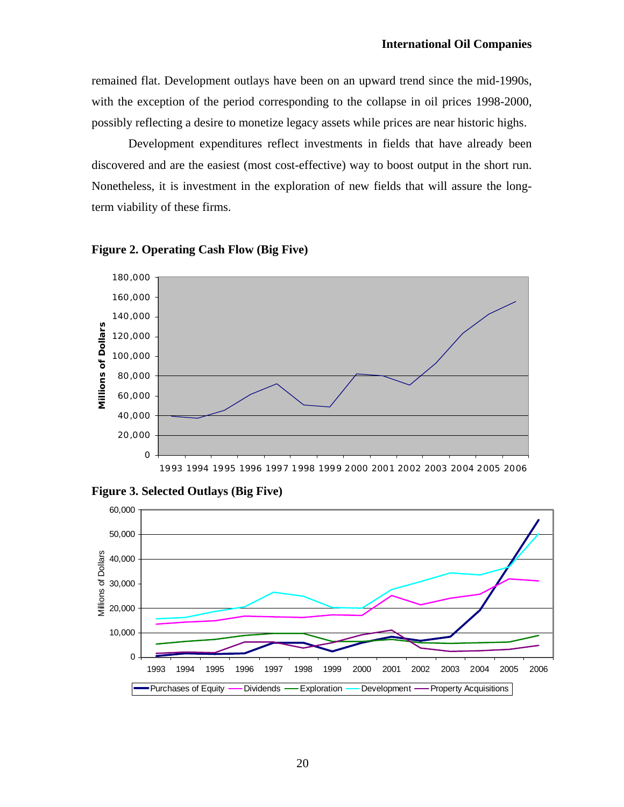remained flat. Development outlays have been on an upward trend since the mid-1990s, with the exception of the period corresponding to the collapse in oil prices 1998-2000, possibly reflecting a desire to monetize legacy assets while prices are near historic highs.

Development expenditures reflect investments in fields that have already been discovered and are the easiest (most cost-effective) way to boost output in the short run. Nonetheless, it is investment in the exploration of new fields that will assure the longterm viability of these firms.



**Figure 2. Operating Cash Flow (Big Five)** 



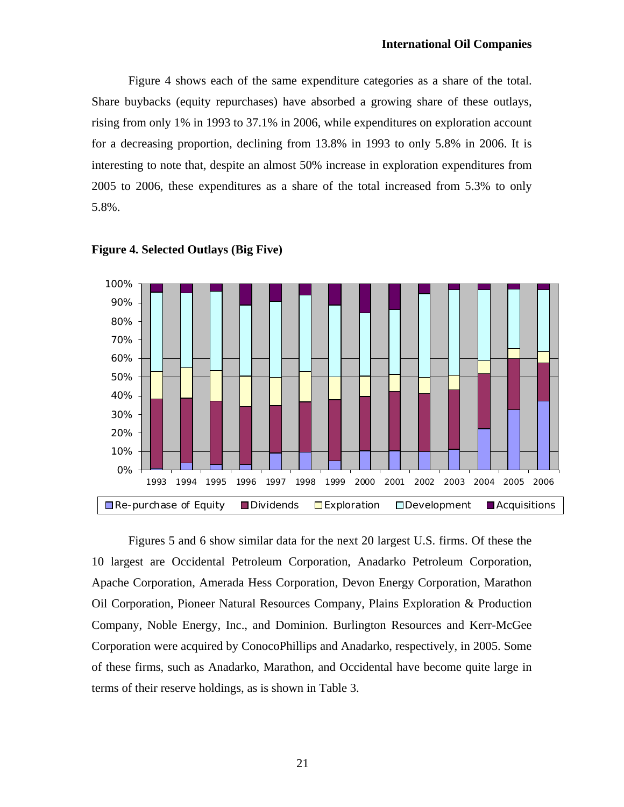Figure 4 shows each of the same expenditure categories as a share of the total. Share buybacks (equity repurchases) have absorbed a growing share of these outlays, rising from only 1% in 1993 to 37.1% in 2006, while expenditures on exploration account for a decreasing proportion, declining from 13.8% in 1993 to only 5.8% in 2006. It is interesting to note that, despite an almost 50% increase in exploration expenditures from 2005 to 2006, these expenditures as a share of the total increased from 5.3% to only 5.8%.





Figures 5 and 6 show similar data for the next 20 largest U.S. firms. Of these the 10 largest are Occidental Petroleum Corporation, Anadarko Petroleum Corporation, Apache Corporation, Amerada Hess Corporation, Devon Energy Corporation, Marathon Oil Corporation, Pioneer Natural Resources Company, Plains Exploration & Production Company, Noble Energy, Inc., and Dominion. Burlington Resources and Kerr-McGee Corporation were acquired by ConocoPhillips and Anadarko, respectively, in 2005. Some of these firms, such as Anadarko, Marathon, and Occidental have become quite large in terms of their reserve holdings, as is shown in Table 3.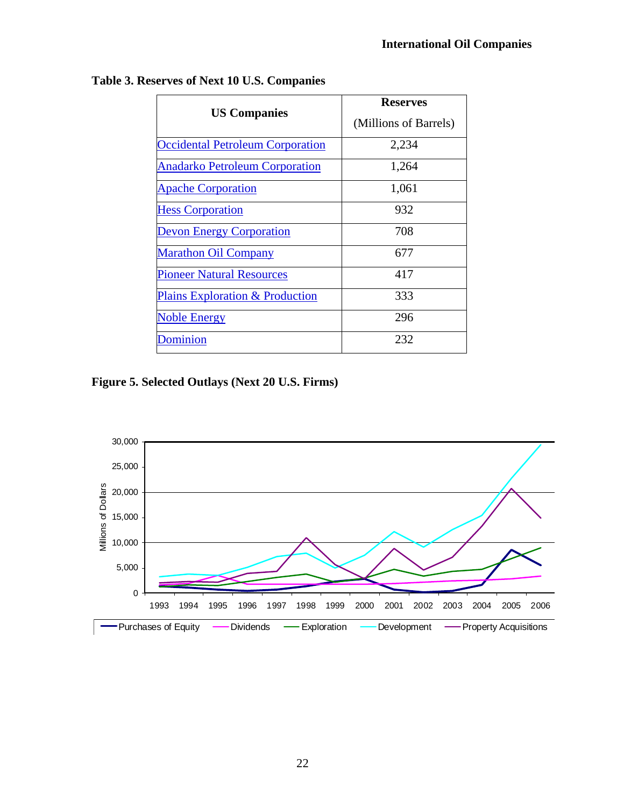| <b>US Companies</b>                        | <b>Reserves</b>       |  |  |  |  |
|--------------------------------------------|-----------------------|--|--|--|--|
|                                            | (Millions of Barrels) |  |  |  |  |
| <b>Occidental Petroleum Corporation</b>    | 2,234                 |  |  |  |  |
| <b>Anadarko Petroleum Corporation</b>      | 1,264                 |  |  |  |  |
| <b>Apache Corporation</b>                  | 1,061                 |  |  |  |  |
| <b>Hess Corporation</b>                    | 932                   |  |  |  |  |
| <b>Devon Energy Corporation</b>            | 708                   |  |  |  |  |
| <b>Marathon Oil Company</b>                | 677                   |  |  |  |  |
| <b>Pioneer Natural Resources</b>           | 417                   |  |  |  |  |
| <b>Plains Exploration &amp; Production</b> | 333                   |  |  |  |  |
| <b>Noble Energy</b>                        | 296                   |  |  |  |  |
| Dominion                                   | 232                   |  |  |  |  |

**Table 3. Reserves of Next 10 U.S. Companies** 

**Figure 5. Selected Outlays (Next 20 U.S. Firms)** 

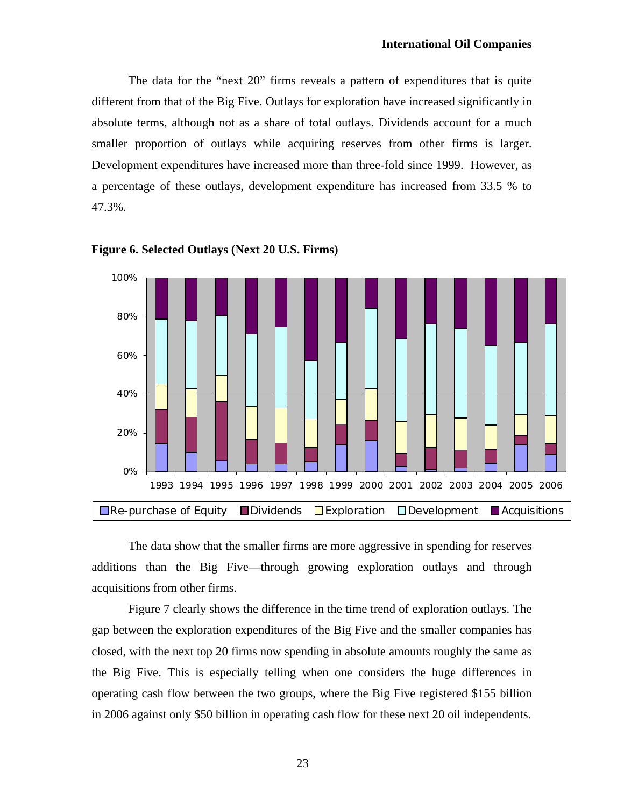The data for the "next 20" firms reveals a pattern of expenditures that is quite different from that of the Big Five. Outlays for exploration have increased significantly in absolute terms, although not as a share of total outlays. Dividends account for a much smaller proportion of outlays while acquiring reserves from other firms is larger. Development expenditures have increased more than three-fold since 1999. However, as a percentage of these outlays, development expenditure has increased from 33.5 % to 47.3%.





The data show that the smaller firms are more aggressive in spending for reserves additions than the Big Five—through growing exploration outlays and through acquisitions from other firms.

Figure 7 clearly shows the difference in the time trend of exploration outlays. The gap between the exploration expenditures of the Big Five and the smaller companies has closed, with the next top 20 firms now spending in absolute amounts roughly the same as the Big Five. This is especially telling when one considers the huge differences in operating cash flow between the two groups, where the Big Five registered \$155 billion in 2006 against only \$50 billion in operating cash flow for these next 20 oil independents.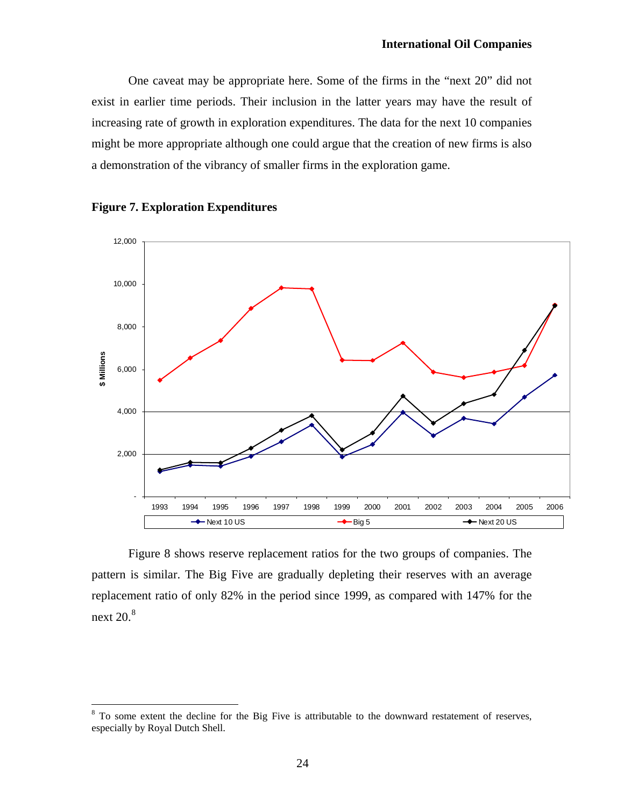One caveat may be appropriate here. Some of the firms in the "next 20" did not exist in earlier time periods. Their inclusion in the latter years may have the result of increasing rate of growth in exploration expenditures. The data for the next 10 companies might be more appropriate although one could argue that the creation of new firms is also a demonstration of the vibrancy of smaller firms in the exploration game.





 $\overline{a}$ 

Figure 8 shows reserve replacement ratios for the two groups of companies. The pattern is similar. The Big Five are gradually depleting their reserves with an average replacement ratio of only 82% in the period since 1999, as compared with 147% for the next  $20.<sup>8</sup>$  $20.<sup>8</sup>$  $20.<sup>8</sup>$ 

<span id="page-23-0"></span> $8$  To some extent the decline for the Big Five is attributable to the downward restatement of reserves, especially by Royal Dutch Shell.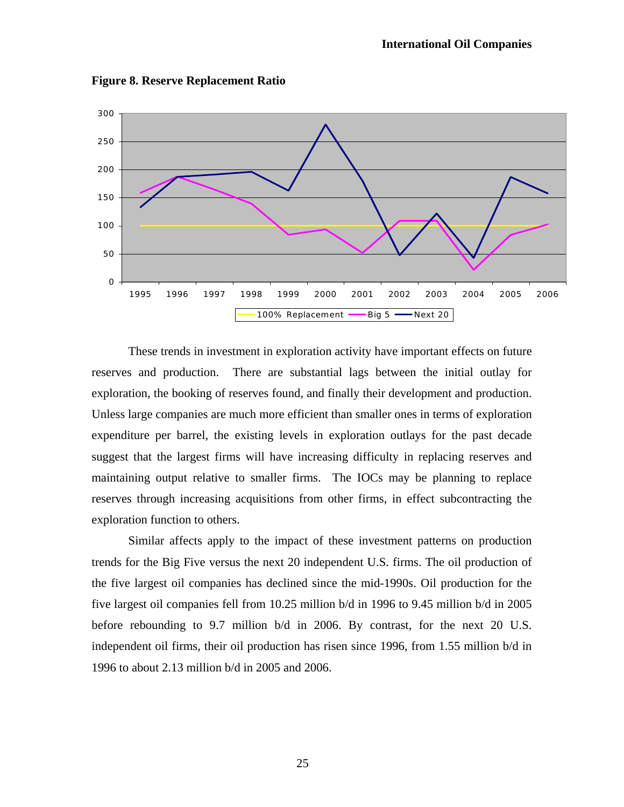

**Figure 8. Reserve Replacement Ratio** 

These trends in investment in exploration activity have important effects on future reserves and production. There are substantial lags between the initial outlay for exploration, the booking of reserves found, and finally their development and production. Unless large companies are much more efficient than smaller ones in terms of exploration expenditure per barrel, the existing levels in exploration outlays for the past decade suggest that the largest firms will have increasing difficulty in replacing reserves and maintaining output relative to smaller firms. The IOCs may be planning to replace reserves through increasing acquisitions from other firms, in effect subcontracting the exploration function to others.

 Similar affects apply to the impact of these investment patterns on production trends for the Big Five versus the next 20 independent U.S. firms. The oil production of the five largest oil companies has declined since the mid-1990s. Oil production for the five largest oil companies fell from 10.25 million b/d in 1996 to 9.45 million b/d in 2005 before rebounding to 9.7 million b/d in 2006. By contrast, for the next 20 U.S. independent oil firms, their oil production has risen since 1996, from 1.55 million b/d in 1996 to about 2.13 million b/d in 2005 and 2006.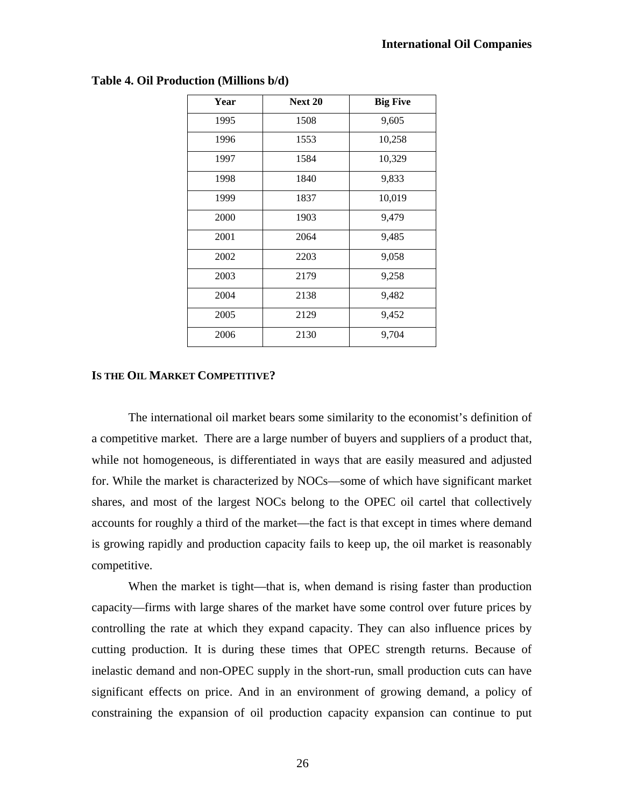| Year | <b>Next 20</b> | <b>Big Five</b> |  |  |
|------|----------------|-----------------|--|--|
| 1995 | 1508           | 9,605           |  |  |
| 1996 | 1553           | 10,258          |  |  |
| 1997 | 1584           | 10,329          |  |  |
| 1998 | 1840           | 9,833           |  |  |
| 1999 | 1837           | 10,019          |  |  |
| 2000 | 1903           | 9,479           |  |  |
| 2001 | 2064           | 9,485           |  |  |
| 2002 | 2203           | 9,058           |  |  |
| 2003 | 2179           | 9,258           |  |  |
| 2004 | 2138           | 9,482           |  |  |
| 2005 | 2129           | 9,452           |  |  |
| 2006 | 2130           | 9,704           |  |  |

### **Table 4. Oil Production (Millions b/d)**

### **IS THE OIL MARKET COMPETITIVE?**

The international oil market bears some similarity to the economist's definition of a competitive market. There are a large number of buyers and suppliers of a product that, while not homogeneous, is differentiated in ways that are easily measured and adjusted for. While the market is characterized by NOCs—some of which have significant market shares, and most of the largest NOCs belong to the OPEC oil cartel that collectively accounts for roughly a third of the market—the fact is that except in times where demand is growing rapidly and production capacity fails to keep up, the oil market is reasonably competitive.

When the market is tight—that is, when demand is rising faster than production capacity—firms with large shares of the market have some control over future prices by controlling the rate at which they expand capacity. They can also influence prices by cutting production. It is during these times that OPEC strength returns. Because of inelastic demand and non-OPEC supply in the short-run, small production cuts can have significant effects on price. And in an environment of growing demand, a policy of constraining the expansion of oil production capacity expansion can continue to put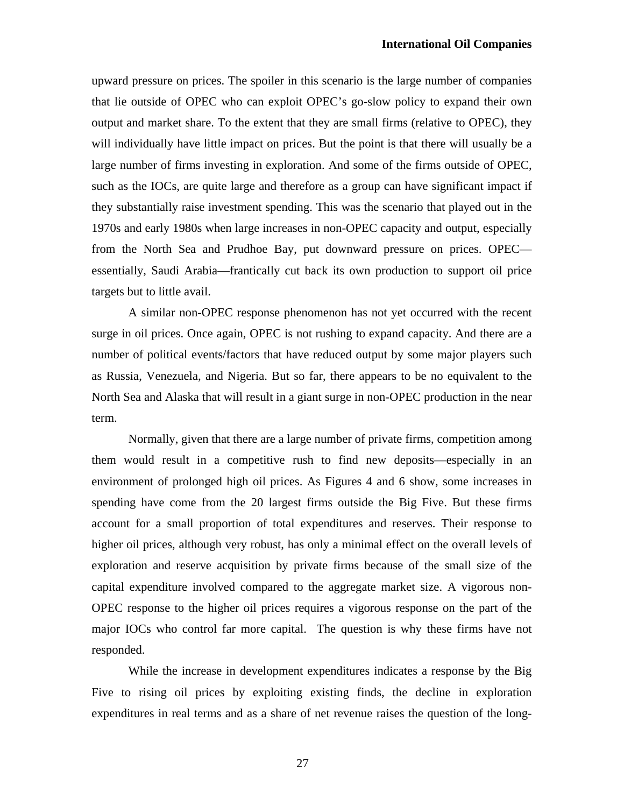upward pressure on prices. The spoiler in this scenario is the large number of companies that lie outside of OPEC who can exploit OPEC's go-slow policy to expand their own output and market share. To the extent that they are small firms (relative to OPEC), they will individually have little impact on prices. But the point is that there will usually be a large number of firms investing in exploration. And some of the firms outside of OPEC, such as the IOCs, are quite large and therefore as a group can have significant impact if they substantially raise investment spending. This was the scenario that played out in the 1970s and early 1980s when large increases in non-OPEC capacity and output, especially from the North Sea and Prudhoe Bay, put downward pressure on prices. OPEC essentially, Saudi Arabia—frantically cut back its own production to support oil price targets but to little avail.

A similar non-OPEC response phenomenon has not yet occurred with the recent surge in oil prices. Once again, OPEC is not rushing to expand capacity. And there are a number of political events/factors that have reduced output by some major players such as Russia, Venezuela, and Nigeria. But so far, there appears to be no equivalent to the North Sea and Alaska that will result in a giant surge in non-OPEC production in the near term.

Normally, given that there are a large number of private firms, competition among them would result in a competitive rush to find new deposits—especially in an environment of prolonged high oil prices. As Figures 4 and 6 show, some increases in spending have come from the 20 largest firms outside the Big Five. But these firms account for a small proportion of total expenditures and reserves. Their response to higher oil prices, although very robust, has only a minimal effect on the overall levels of exploration and reserve acquisition by private firms because of the small size of the capital expenditure involved compared to the aggregate market size. A vigorous non-OPEC response to the higher oil prices requires a vigorous response on the part of the major IOCs who control far more capital. The question is why these firms have not responded.

While the increase in development expenditures indicates a response by the Big Five to rising oil prices by exploiting existing finds, the decline in exploration expenditures in real terms and as a share of net revenue raises the question of the long-

27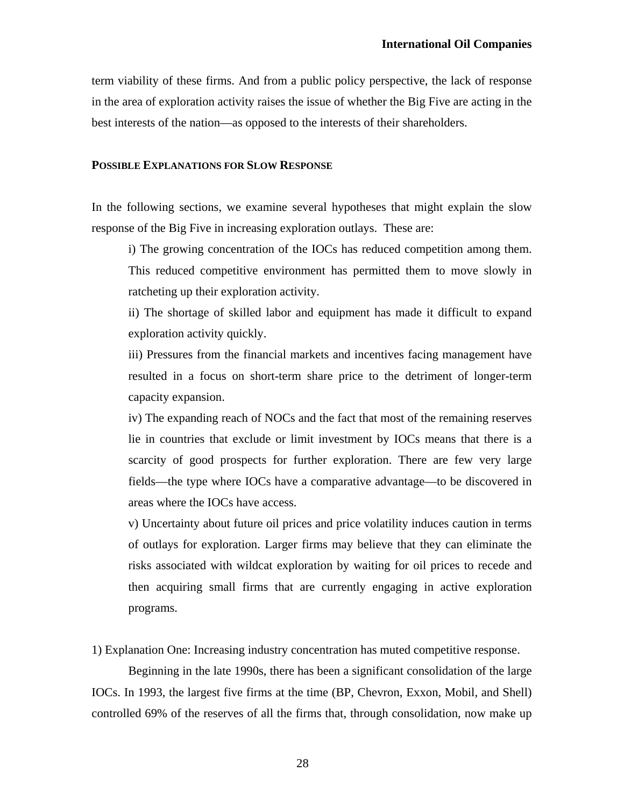term viability of these firms. And from a public policy perspective, the lack of response in the area of exploration activity raises the issue of whether the Big Five are acting in the best interests of the nation—as opposed to the interests of their shareholders.

### **POSSIBLE EXPLANATIONS FOR SLOW RESPONSE**

In the following sections, we examine several hypotheses that might explain the slow response of the Big Five in increasing exploration outlays. These are:

i) The growing concentration of the IOCs has reduced competition among them. This reduced competitive environment has permitted them to move slowly in ratcheting up their exploration activity.

ii) The shortage of skilled labor and equipment has made it difficult to expand exploration activity quickly.

iii) Pressures from the financial markets and incentives facing management have resulted in a focus on short-term share price to the detriment of longer-term capacity expansion.

iv) The expanding reach of NOCs and the fact that most of the remaining reserves lie in countries that exclude or limit investment by IOCs means that there is a scarcity of good prospects for further exploration. There are few very large fields—the type where IOCs have a comparative advantage—to be discovered in areas where the IOCs have access.

v) Uncertainty about future oil prices and price volatility induces caution in terms of outlays for exploration. Larger firms may believe that they can eliminate the risks associated with wildcat exploration by waiting for oil prices to recede and then acquiring small firms that are currently engaging in active exploration programs.

1) Explanation One: Increasing industry concentration has muted competitive response.

Beginning in the late 1990s, there has been a significant consolidation of the large IOCs. In 1993, the largest five firms at the time (BP, Chevron, Exxon, Mobil, and Shell) controlled 69% of the reserves of all the firms that, through consolidation, now make up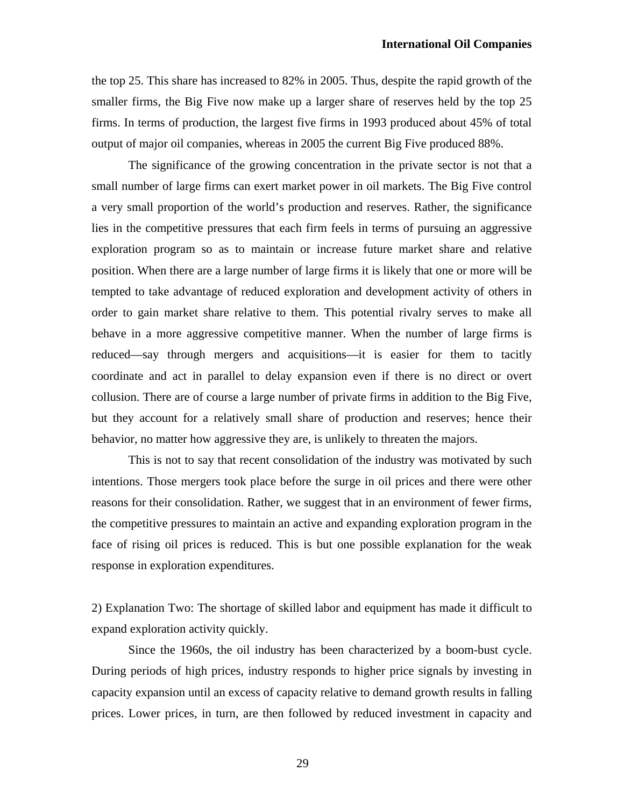the top 25. This share has increased to 82% in 2005. Thus, despite the rapid growth of the smaller firms, the Big Five now make up a larger share of reserves held by the top 25 firms. In terms of production, the largest five firms in 1993 produced about 45% of total output of major oil companies, whereas in 2005 the current Big Five produced 88%.

 The significance of the growing concentration in the private sector is not that a small number of large firms can exert market power in oil markets. The Big Five control a very small proportion of the world's production and reserves. Rather, the significance lies in the competitive pressures that each firm feels in terms of pursuing an aggressive exploration program so as to maintain or increase future market share and relative position. When there are a large number of large firms it is likely that one or more will be tempted to take advantage of reduced exploration and development activity of others in order to gain market share relative to them. This potential rivalry serves to make all behave in a more aggressive competitive manner. When the number of large firms is reduced—say through mergers and acquisitions—it is easier for them to tacitly coordinate and act in parallel to delay expansion even if there is no direct or overt collusion. There are of course a large number of private firms in addition to the Big Five, but they account for a relatively small share of production and reserves; hence their behavior, no matter how aggressive they are, is unlikely to threaten the majors.

 This is not to say that recent consolidation of the industry was motivated by such intentions. Those mergers took place before the surge in oil prices and there were other reasons for their consolidation. Rather, we suggest that in an environment of fewer firms, the competitive pressures to maintain an active and expanding exploration program in the face of rising oil prices is reduced. This is but one possible explanation for the weak response in exploration expenditures.

2) Explanation Two: The shortage of skilled labor and equipment has made it difficult to expand exploration activity quickly.

Since the 1960s, the oil industry has been characterized by a boom-bust cycle. During periods of high prices, industry responds to higher price signals by investing in capacity expansion until an excess of capacity relative to demand growth results in falling prices. Lower prices, in turn, are then followed by reduced investment in capacity and

29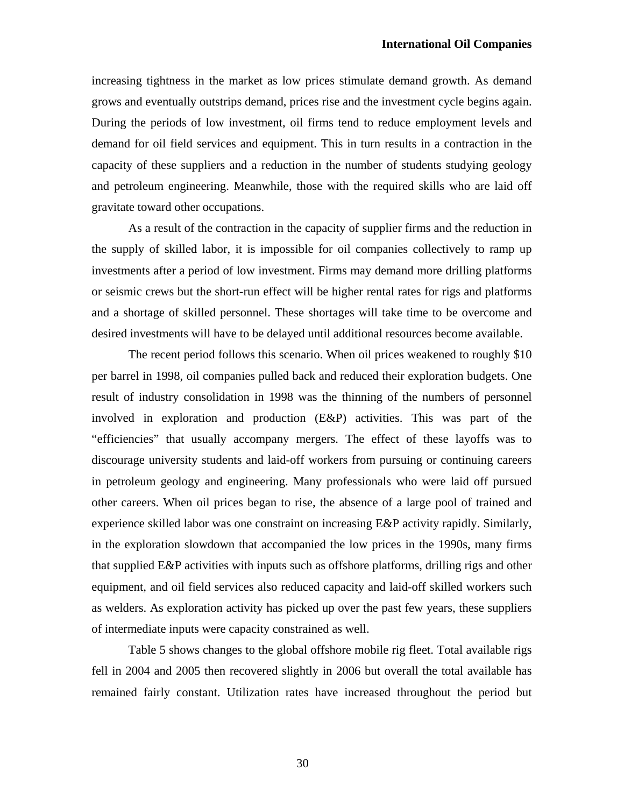increasing tightness in the market as low prices stimulate demand growth. As demand grows and eventually outstrips demand, prices rise and the investment cycle begins again. During the periods of low investment, oil firms tend to reduce employment levels and demand for oil field services and equipment. This in turn results in a contraction in the capacity of these suppliers and a reduction in the number of students studying geology and petroleum engineering. Meanwhile, those with the required skills who are laid off gravitate toward other occupations.

As a result of the contraction in the capacity of supplier firms and the reduction in the supply of skilled labor, it is impossible for oil companies collectively to ramp up investments after a period of low investment. Firms may demand more drilling platforms or seismic crews but the short-run effect will be higher rental rates for rigs and platforms and a shortage of skilled personnel. These shortages will take time to be overcome and desired investments will have to be delayed until additional resources become available.

The recent period follows this scenario. When oil prices weakened to roughly \$10 per barrel in 1998, oil companies pulled back and reduced their exploration budgets. One result of industry consolidation in 1998 was the thinning of the numbers of personnel involved in exploration and production (E&P) activities. This was part of the "efficiencies" that usually accompany mergers. The effect of these layoffs was to discourage university students and laid-off workers from pursuing or continuing careers in petroleum geology and engineering. Many professionals who were laid off pursued other careers. When oil prices began to rise, the absence of a large pool of trained and experience skilled labor was one constraint on increasing E&P activity rapidly. Similarly, in the exploration slowdown that accompanied the low prices in the 1990s, many firms that supplied E&P activities with inputs such as offshore platforms, drilling rigs and other equipment, and oil field services also reduced capacity and laid-off skilled workers such as welders. As exploration activity has picked up over the past few years, these suppliers of intermediate inputs were capacity constrained as well.

Table 5 shows changes to the global offshore mobile rig fleet. Total available rigs fell in 2004 and 2005 then recovered slightly in 2006 but overall the total available has remained fairly constant. Utilization rates have increased throughout the period but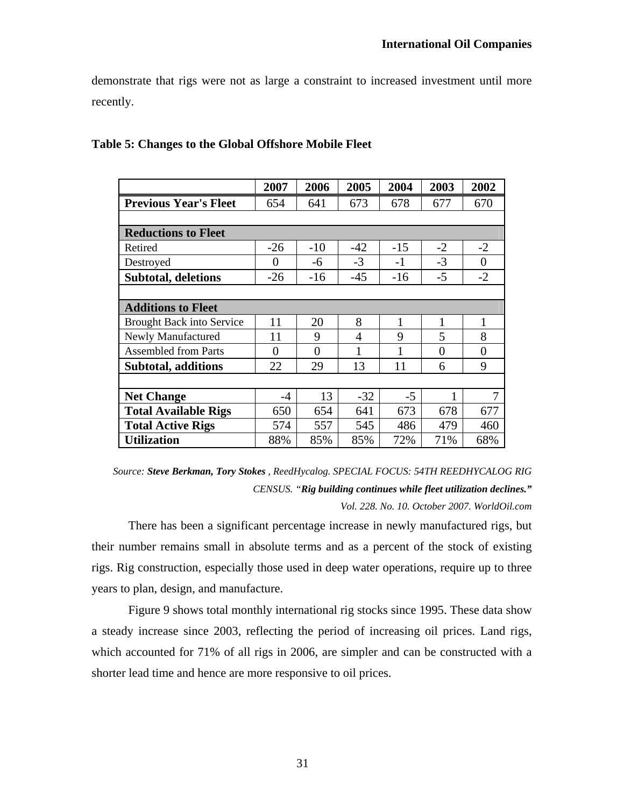demonstrate that rigs were not as large a constraint to increased investment until more recently.

|                                  | 2007     | 2006     | 2005  | 2004  | 2003     | 2002           |  |  |
|----------------------------------|----------|----------|-------|-------|----------|----------------|--|--|
| <b>Previous Year's Fleet</b>     | 654      | 641      | 673   | 678   | 677      | 670            |  |  |
|                                  |          |          |       |       |          |                |  |  |
| <b>Reductions to Fleet</b>       |          |          |       |       |          |                |  |  |
| Retired                          | $-26$    | $-10$    | $-42$ | $-15$ | $-2$     | $-2$           |  |  |
| Destroyed                        | 0        | -6       | $-3$  | $-1$  | $-3$     | $\overline{0}$ |  |  |
| <b>Subtotal, deletions</b>       | $-26$    | $-16$    | $-45$ | $-16$ | $-5$     | $-2$           |  |  |
|                                  |          |          |       |       |          |                |  |  |
| <b>Additions to Fleet</b>        |          |          |       |       |          |                |  |  |
| <b>Brought Back into Service</b> | 11       | 20       | 8     | 1     | 1        | 1              |  |  |
| Newly Manufactured               | 11       | 9        | 4     | 9     | 5        | 8              |  |  |
| <b>Assembled from Parts</b>      | $\theta$ | $\theta$ | 1     | 1     | $\theta$ | $\overline{0}$ |  |  |
| Subtotal, additions              | 22       | 29       | 13    | 11    | 6        | 9              |  |  |
|                                  |          |          |       |       |          |                |  |  |
| <b>Net Change</b>                | $-4$     | 13       | $-32$ | -5    | 1        | 7              |  |  |
| <b>Total Available Rigs</b>      | 650      | 654      | 641   | 673   | 678      | 677            |  |  |
| <b>Total Active Rigs</b>         | 574      | 557      | 545   | 486   | 479      | 460            |  |  |
| <b>Utilization</b>               | 88%      | 85%      | 85%   | 72%   | 71%      | 68%            |  |  |

### **Table 5: Changes to the Global Offshore Mobile Fleet**

*Source: Steve Berkman, Tory Stokes , ReedHycalog. SPECIAL FOCUS: 54TH REEDHYCALOG RIG CENSUS. "Rig building continues while fleet utilization declines." Vol. 228. No. 10. October 2007. WorldOil.com* 

 There has been a significant percentage increase in newly manufactured rigs, but their number remains small in absolute terms and as a percent of the stock of existing rigs. Rig construction, especially those used in deep water operations, require up to three years to plan, design, and manufacture.

 Figure 9 shows total monthly international rig stocks since 1995. These data show a steady increase since 2003, reflecting the period of increasing oil prices. Land rigs, which accounted for 71% of all rigs in 2006, are simpler and can be constructed with a shorter lead time and hence are more responsive to oil prices.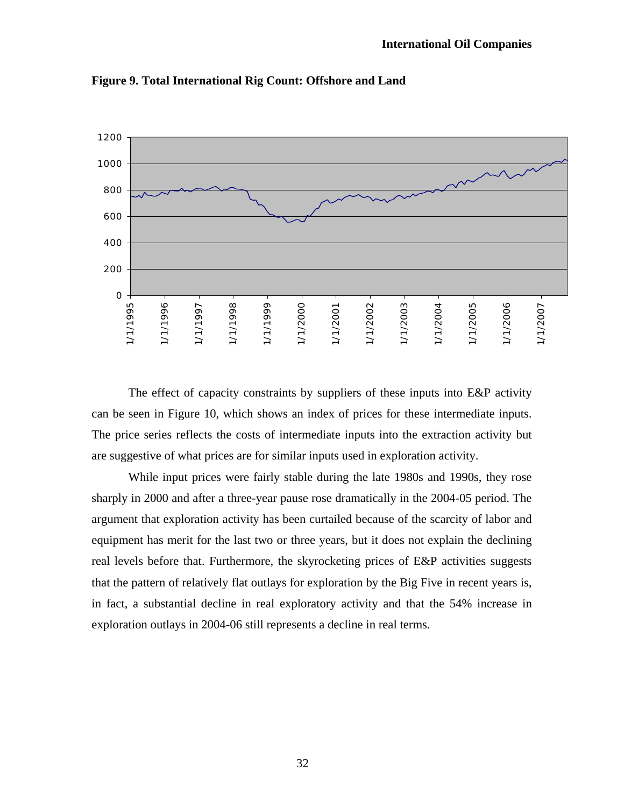

**Figure 9. Total International Rig Count: Offshore and Land** 

 The effect of capacity constraints by suppliers of these inputs into E&P activity can be seen in Figure 10, which shows an index of prices for these intermediate inputs. The price series reflects the costs of intermediate inputs into the extraction activity but are suggestive of what prices are for similar inputs used in exploration activity.

 While input prices were fairly stable during the late 1980s and 1990s, they rose sharply in 2000 and after a three-year pause rose dramatically in the 2004-05 period. The argument that exploration activity has been curtailed because of the scarcity of labor and equipment has merit for the last two or three years, but it does not explain the declining real levels before that. Furthermore, the skyrocketing prices of E&P activities suggests that the pattern of relatively flat outlays for exploration by the Big Five in recent years is, in fact, a substantial decline in real exploratory activity and that the 54% increase in exploration outlays in 2004-06 still represents a decline in real terms.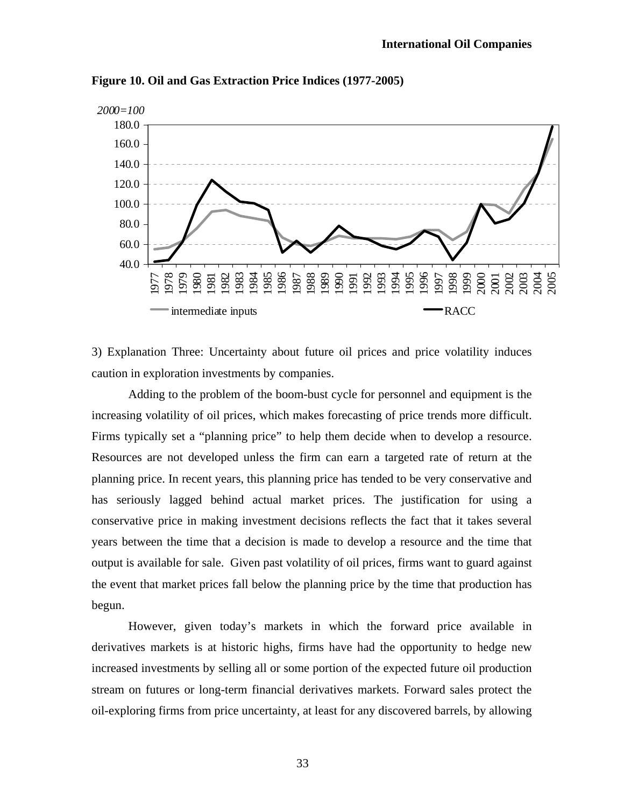

**Figure 10. Oil and Gas Extraction Price Indices (1977-2005)** 

3) Explanation Three: Uncertainty about future oil prices and price volatility induces caution in exploration investments by companies.

Adding to the problem of the boom-bust cycle for personnel and equipment is the increasing volatility of oil prices, which makes forecasting of price trends more difficult. Firms typically set a "planning price" to help them decide when to develop a resource. Resources are not developed unless the firm can earn a targeted rate of return at the planning price. In recent years, this planning price has tended to be very conservative and has seriously lagged behind actual market prices. The justification for using a conservative price in making investment decisions reflects the fact that it takes several years between the time that a decision is made to develop a resource and the time that output is available for sale. Given past volatility of oil prices, firms want to guard against the event that market prices fall below the planning price by the time that production has begun.

However, given today's markets in which the forward price available in derivatives markets is at historic highs, firms have had the opportunity to hedge new increased investments by selling all or some portion of the expected future oil production stream on futures or long-term financial derivatives markets. Forward sales protect the oil-exploring firms from price uncertainty, at least for any discovered barrels, by allowing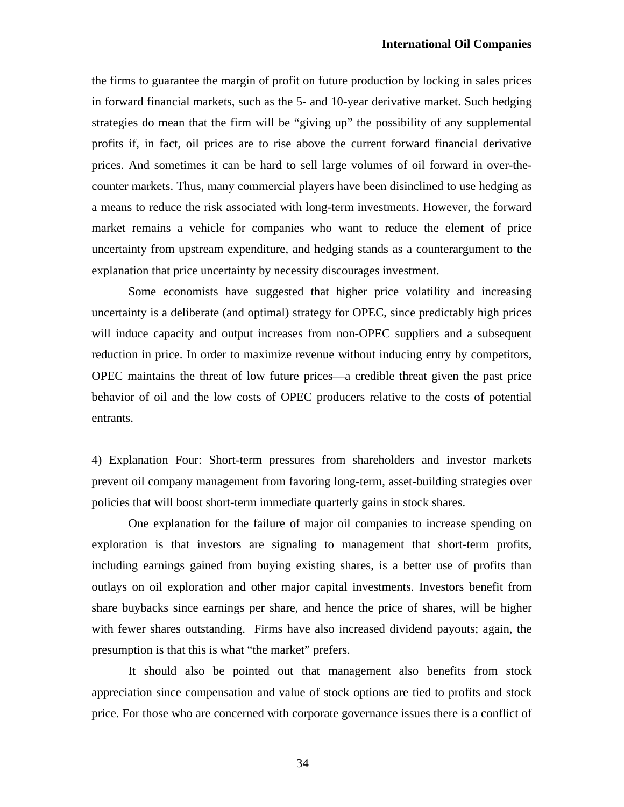the firms to guarantee the margin of profit on future production by locking in sales prices in forward financial markets, such as the 5- and 10-year derivative market. Such hedging strategies do mean that the firm will be "giving up" the possibility of any supplemental profits if, in fact, oil prices are to rise above the current forward financial derivative prices. And sometimes it can be hard to sell large volumes of oil forward in over-thecounter markets. Thus, many commercial players have been disinclined to use hedging as a means to reduce the risk associated with long-term investments. However, the forward market remains a vehicle for companies who want to reduce the element of price uncertainty from upstream expenditure, and hedging stands as a counterargument to the explanation that price uncertainty by necessity discourages investment.

Some economists have suggested that higher price volatility and increasing uncertainty is a deliberate (and optimal) strategy for OPEC, since predictably high prices will induce capacity and output increases from non-OPEC suppliers and a subsequent reduction in price. In order to maximize revenue without inducing entry by competitors, OPEC maintains the threat of low future prices—a credible threat given the past price behavior of oil and the low costs of OPEC producers relative to the costs of potential entrants.

4) Explanation Four: Short-term pressures from shareholders and investor markets prevent oil company management from favoring long-term, asset-building strategies over policies that will boost short-term immediate quarterly gains in stock shares.

One explanation for the failure of major oil companies to increase spending on exploration is that investors are signaling to management that short-term profits, including earnings gained from buying existing shares, is a better use of profits than outlays on oil exploration and other major capital investments. Investors benefit from share buybacks since earnings per share, and hence the price of shares, will be higher with fewer shares outstanding. Firms have also increased dividend payouts; again, the presumption is that this is what "the market" prefers.

It should also be pointed out that management also benefits from stock appreciation since compensation and value of stock options are tied to profits and stock price. For those who are concerned with corporate governance issues there is a conflict of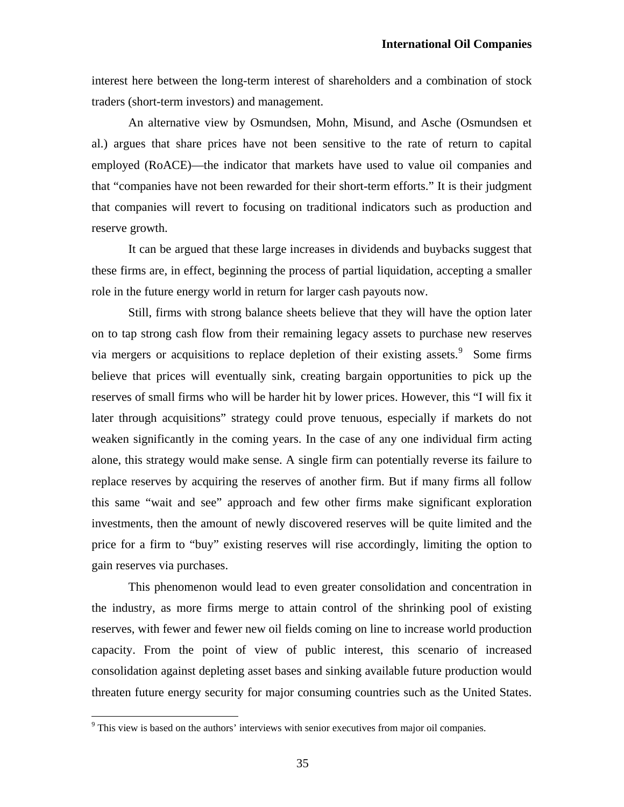interest here between the long-term interest of shareholders and a combination of stock traders (short-term investors) and management.

An alternative view by Osmundsen, Mohn, Misund, and Asche (Osmundsen et al.) argues that share prices have not been sensitive to the rate of return to capital employed (RoACE)—the indicator that markets have used to value oil companies and that "companies have not been rewarded for their short-term efforts." It is their judgment that companies will revert to focusing on traditional indicators such as production and reserve growth.

It can be argued that these large increases in dividends and buybacks suggest that these firms are, in effect, beginning the process of partial liquidation, accepting a smaller role in the future energy world in return for larger cash payouts now.

Still, firms with strong balance sheets believe that they will have the option later on to tap strong cash flow from their remaining legacy assets to purchase new reserves via mergers or acquisitions to replace depletion of their existing assets.  $\degree$  Some firms believe that prices will eventually sink, creating bargain opportunities to pick up the reserves of small firms who will be harder hit by lower prices. However, this "I will fix it later through acquisitions" strategy could prove tenuous, especially if markets do not weaken significantly in the coming years. In the case of any one individual firm acting alone, this strategy would make sense. A single firm can potentially reverse its failure to replace reserves by acquiring the reserves of another firm. But if many firms all follow this same "wait and see" approach and few other firms make significant exploration investments, then the amount of newly discovered reserves will be quite limited and the price for a firm to "buy" existing reserves will rise accordingly, limiting the option to gain reserves via purchases.

This phenomenon would lead to even greater consolidation and concentration in the industry, as more firms merge to attain control of the shrinking pool of existing reserves, with fewer and fewer new oil fields coming on line to increase world production capacity. From the point of view of public interest, this scenario of increased consolidation against depleting asset bases and sinking available future production would threaten future energy security for major consuming countries such as the United States.

 $\overline{a}$ 

<span id="page-34-0"></span> $9$  This view is based on the authors' interviews with senior executives from major oil companies.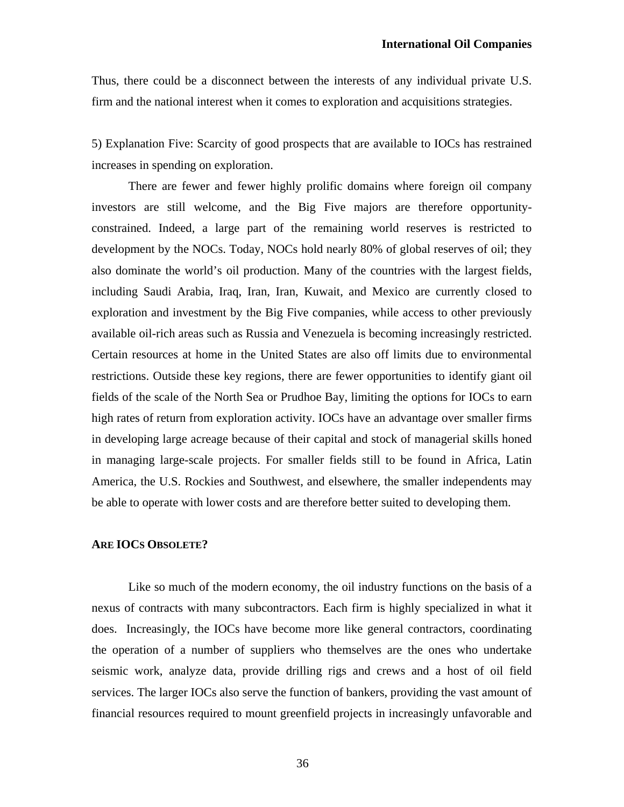Thus, there could be a disconnect between the interests of any individual private U.S. firm and the national interest when it comes to exploration and acquisitions strategies.

5) Explanation Five: Scarcity of good prospects that are available to IOCs has restrained increases in spending on exploration.

There are fewer and fewer highly prolific domains where foreign oil company investors are still welcome, and the Big Five majors are therefore opportunityconstrained. Indeed, a large part of the remaining world reserves is restricted to development by the NOCs. Today, NOCs hold nearly 80% of global reserves of oil; they also dominate the world's oil production. Many of the countries with the largest fields, including Saudi Arabia, Iraq, Iran, Iran, Kuwait, and Mexico are currently closed to exploration and investment by the Big Five companies, while access to other previously available oil-rich areas such as Russia and Venezuela is becoming increasingly restricted. Certain resources at home in the United States are also off limits due to environmental restrictions. Outside these key regions, there are fewer opportunities to identify giant oil fields of the scale of the North Sea or Prudhoe Bay, limiting the options for IOCs to earn high rates of return from exploration activity. IOCs have an advantage over smaller firms in developing large acreage because of their capital and stock of managerial skills honed in managing large-scale projects. For smaller fields still to be found in Africa, Latin America, the U.S. Rockies and Southwest, and elsewhere, the smaller independents may be able to operate with lower costs and are therefore better suited to developing them.

### **ARE IOCS OBSOLETE?**

 Like so much of the modern economy, the oil industry functions on the basis of a nexus of contracts with many subcontractors. Each firm is highly specialized in what it does. Increasingly, the IOCs have become more like general contractors, coordinating the operation of a number of suppliers who themselves are the ones who undertake seismic work, analyze data, provide drilling rigs and crews and a host of oil field services. The larger IOCs also serve the function of bankers, providing the vast amount of financial resources required to mount greenfield projects in increasingly unfavorable and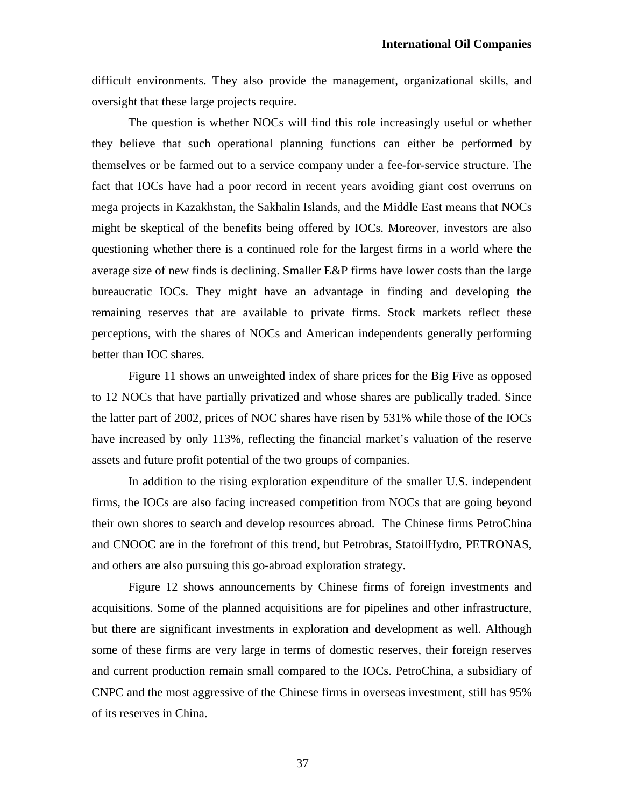difficult environments. They also provide the management, organizational skills, and oversight that these large projects require.

 The question is whether NOCs will find this role increasingly useful or whether they believe that such operational planning functions can either be performed by themselves or be farmed out to a service company under a fee-for-service structure. The fact that IOCs have had a poor record in recent years avoiding giant cost overruns on mega projects in Kazakhstan, the Sakhalin Islands, and the Middle East means that NOCs might be skeptical of the benefits being offered by IOCs. Moreover, investors are also questioning whether there is a continued role for the largest firms in a world where the average size of new finds is declining. Smaller E&P firms have lower costs than the large bureaucratic IOCs. They might have an advantage in finding and developing the remaining reserves that are available to private firms. Stock markets reflect these perceptions, with the shares of NOCs and American independents generally performing better than IOC shares.

Figure 11 shows an unweighted index of share prices for the Big Five as opposed to 12 NOCs that have partially privatized and whose shares are publically traded. Since the latter part of 2002, prices of NOC shares have risen by 531% while those of the IOCs have increased by only 113%, reflecting the financial market's valuation of the reserve assets and future profit potential of the two groups of companies.

 In addition to the rising exploration expenditure of the smaller U.S. independent firms, the IOCs are also facing increased competition from NOCs that are going beyond their own shores to search and develop resources abroad. The Chinese firms PetroChina and CNOOC are in the forefront of this trend, but Petrobras, StatoilHydro, PETRONAS, and others are also pursuing this go-abroad exploration strategy.

 Figure 12 shows announcements by Chinese firms of foreign investments and acquisitions. Some of the planned acquisitions are for pipelines and other infrastructure, but there are significant investments in exploration and development as well. Although some of these firms are very large in terms of domestic reserves, their foreign reserves and current production remain small compared to the IOCs. PetroChina, a subsidiary of CNPC and the most aggressive of the Chinese firms in overseas investment, still has 95% of its reserves in China.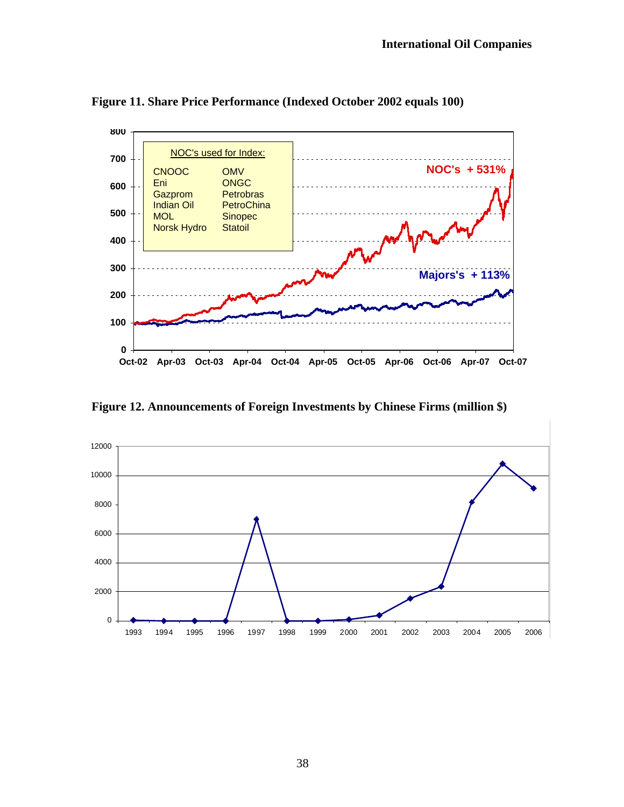

**Figure 11. Share Price Performance (Indexed October 2002 equals 100)** 

Figure 12. Announcements of Foreign Investments by Chinese Firms (million \$)

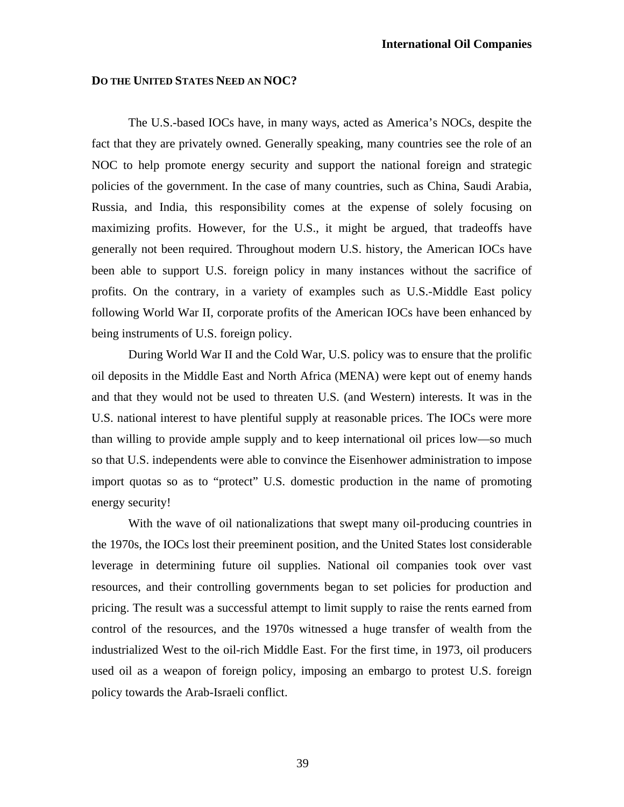### **DO THE UNITED STATES NEED AN NOC?**

The U.S.-based IOCs have, in many ways, acted as America's NOCs, despite the fact that they are privately owned. Generally speaking, many countries see the role of an NOC to help promote energy security and support the national foreign and strategic policies of the government. In the case of many countries, such as China, Saudi Arabia, Russia, and India, this responsibility comes at the expense of solely focusing on maximizing profits. However, for the U.S., it might be argued, that tradeoffs have generally not been required. Throughout modern U.S. history, the American IOCs have been able to support U.S. foreign policy in many instances without the sacrifice of profits. On the contrary, in a variety of examples such as U.S.-Middle East policy following World War II, corporate profits of the American IOCs have been enhanced by being instruments of U.S. foreign policy.

During World War II and the Cold War, U.S. policy was to ensure that the prolific oil deposits in the Middle East and North Africa (MENA) were kept out of enemy hands and that they would not be used to threaten U.S. (and Western) interests. It was in the U.S. national interest to have plentiful supply at reasonable prices. The IOCs were more than willing to provide ample supply and to keep international oil prices low—so much so that U.S. independents were able to convince the Eisenhower administration to impose import quotas so as to "protect" U.S. domestic production in the name of promoting energy security!

With the wave of oil nationalizations that swept many oil-producing countries in the 1970s, the IOCs lost their preeminent position, and the United States lost considerable leverage in determining future oil supplies. National oil companies took over vast resources, and their controlling governments began to set policies for production and pricing. The result was a successful attempt to limit supply to raise the rents earned from control of the resources, and the 1970s witnessed a huge transfer of wealth from the industrialized West to the oil-rich Middle East. For the first time, in 1973, oil producers used oil as a weapon of foreign policy, imposing an embargo to protest U.S. foreign policy towards the Arab-Israeli conflict.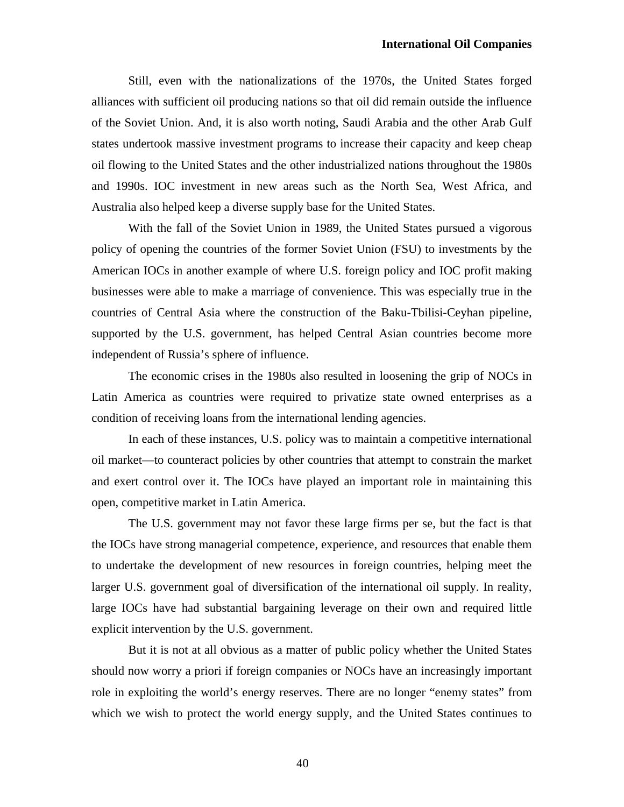Still, even with the nationalizations of the 1970s, the United States forged alliances with sufficient oil producing nations so that oil did remain outside the influence of the Soviet Union. And, it is also worth noting, Saudi Arabia and the other Arab Gulf states undertook massive investment programs to increase their capacity and keep cheap oil flowing to the United States and the other industrialized nations throughout the 1980s and 1990s. IOC investment in new areas such as the North Sea, West Africa, and Australia also helped keep a diverse supply base for the United States.

With the fall of the Soviet Union in 1989, the United States pursued a vigorous policy of opening the countries of the former Soviet Union (FSU) to investments by the American IOCs in another example of where U.S. foreign policy and IOC profit making businesses were able to make a marriage of convenience. This was especially true in the countries of Central Asia where the construction of the Baku-Tbilisi-Ceyhan pipeline, supported by the U.S. government, has helped Central Asian countries become more independent of Russia's sphere of influence.

The economic crises in the 1980s also resulted in loosening the grip of NOCs in Latin America as countries were required to privatize state owned enterprises as a condition of receiving loans from the international lending agencies.

In each of these instances, U.S. policy was to maintain a competitive international oil market—to counteract policies by other countries that attempt to constrain the market and exert control over it. The IOCs have played an important role in maintaining this open, competitive market in Latin America.

The U.S. government may not favor these large firms per se, but the fact is that the IOCs have strong managerial competence, experience, and resources that enable them to undertake the development of new resources in foreign countries, helping meet the larger U.S. government goal of diversification of the international oil supply. In reality, large IOCs have had substantial bargaining leverage on their own and required little explicit intervention by the U.S. government.

But it is not at all obvious as a matter of public policy whether the United States should now worry a priori if foreign companies or NOCs have an increasingly important role in exploiting the world's energy reserves. There are no longer "enemy states" from which we wish to protect the world energy supply, and the United States continues to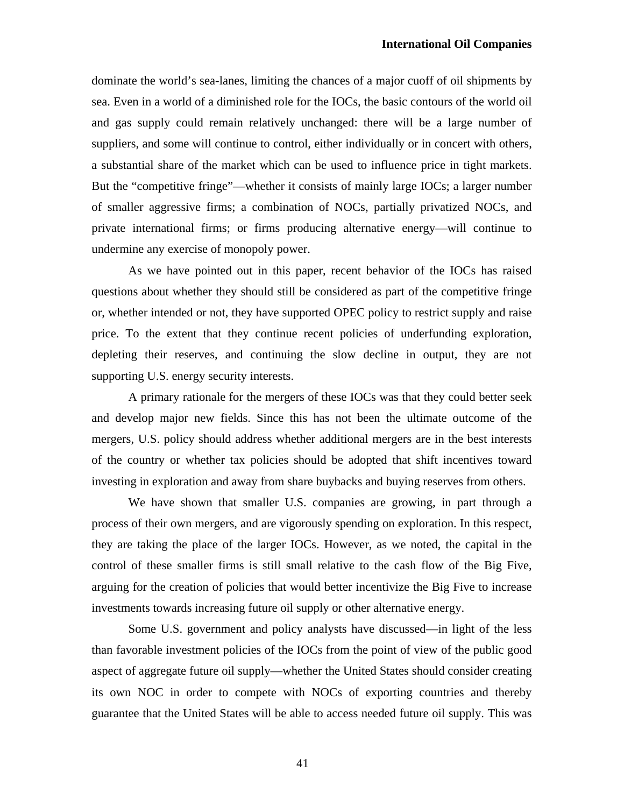dominate the world's sea-lanes, limiting the chances of a major cuoff of oil shipments by sea. Even in a world of a diminished role for the IOCs, the basic contours of the world oil and gas supply could remain relatively unchanged: there will be a large number of suppliers, and some will continue to control, either individually or in concert with others, a substantial share of the market which can be used to influence price in tight markets. But the "competitive fringe"—whether it consists of mainly large IOCs; a larger number of smaller aggressive firms; a combination of NOCs, partially privatized NOCs, and private international firms; or firms producing alternative energy—will continue to undermine any exercise of monopoly power.

As we have pointed out in this paper, recent behavior of the IOCs has raised questions about whether they should still be considered as part of the competitive fringe or, whether intended or not, they have supported OPEC policy to restrict supply and raise price. To the extent that they continue recent policies of underfunding exploration, depleting their reserves, and continuing the slow decline in output, they are not supporting U.S. energy security interests.

A primary rationale for the mergers of these IOCs was that they could better seek and develop major new fields. Since this has not been the ultimate outcome of the mergers, U.S. policy should address whether additional mergers are in the best interests of the country or whether tax policies should be adopted that shift incentives toward investing in exploration and away from share buybacks and buying reserves from others.

We have shown that smaller U.S. companies are growing, in part through a process of their own mergers, and are vigorously spending on exploration. In this respect, they are taking the place of the larger IOCs. However, as we noted, the capital in the control of these smaller firms is still small relative to the cash flow of the Big Five, arguing for the creation of policies that would better incentivize the Big Five to increase investments towards increasing future oil supply or other alternative energy.

Some U.S. government and policy analysts have discussed—in light of the less than favorable investment policies of the IOCs from the point of view of the public good aspect of aggregate future oil supply—whether the United States should consider creating its own NOC in order to compete with NOCs of exporting countries and thereby guarantee that the United States will be able to access needed future oil supply. This was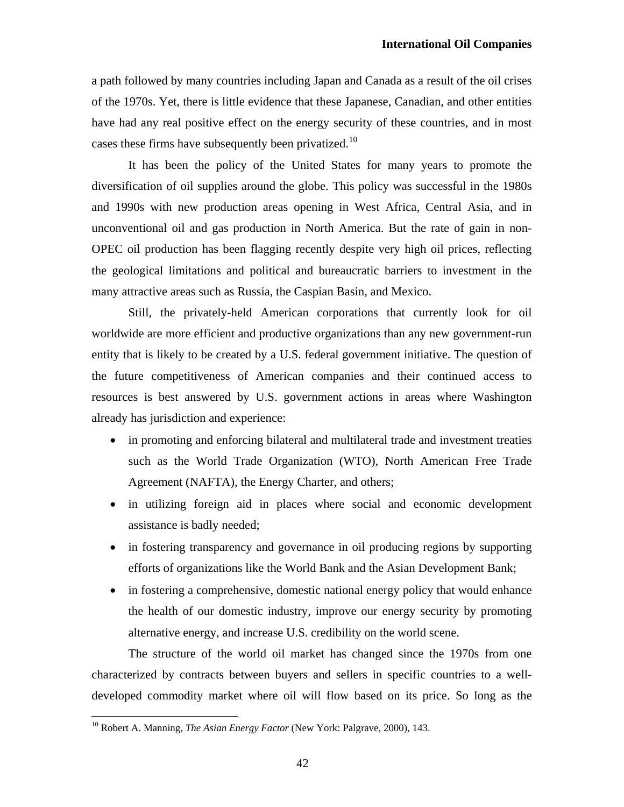a path followed by many countries including Japan and Canada as a result of the oil crises of the 1970s. Yet, there is little evidence that these Japanese, Canadian, and other entities have had any real positive effect on the energy security of these countries, and in most cases these firms have subsequently been privatized.<sup>[10](#page-41-0)</sup>

It has been the policy of the United States for many years to promote the diversification of oil supplies around the globe. This policy was successful in the 1980s and 1990s with new production areas opening in West Africa, Central Asia, and in unconventional oil and gas production in North America. But the rate of gain in non-OPEC oil production has been flagging recently despite very high oil prices, reflecting the geological limitations and political and bureaucratic barriers to investment in the many attractive areas such as Russia, the Caspian Basin, and Mexico.

Still, the privately-held American corporations that currently look for oil worldwide are more efficient and productive organizations than any new government-run entity that is likely to be created by a U.S. federal government initiative. The question of the future competitiveness of American companies and their continued access to resources is best answered by U.S. government actions in areas where Washington already has jurisdiction and experience:

- in promoting and enforcing bilateral and multilateral trade and investment treaties such as the World Trade Organization (WTO), North American Free Trade Agreement (NAFTA), the Energy Charter, and others;
- in utilizing foreign aid in places where social and economic development assistance is badly needed;
- in fostering transparency and governance in oil producing regions by supporting efforts of organizations like the World Bank and the Asian Development Bank;
- in fostering a comprehensive, domestic national energy policy that would enhance the health of our domestic industry, improve our energy security by promoting alternative energy, and increase U.S. credibility on the world scene.

 The structure of the world oil market has changed since the 1970s from one characterized by contracts between buyers and sellers in specific countries to a welldeveloped commodity market where oil will flow based on its price. So long as the

 $\overline{a}$ 

<span id="page-41-0"></span><sup>10</sup> Robert A. Manning, *The Asian Energy Factor* (New York: Palgrave, 2000), 143.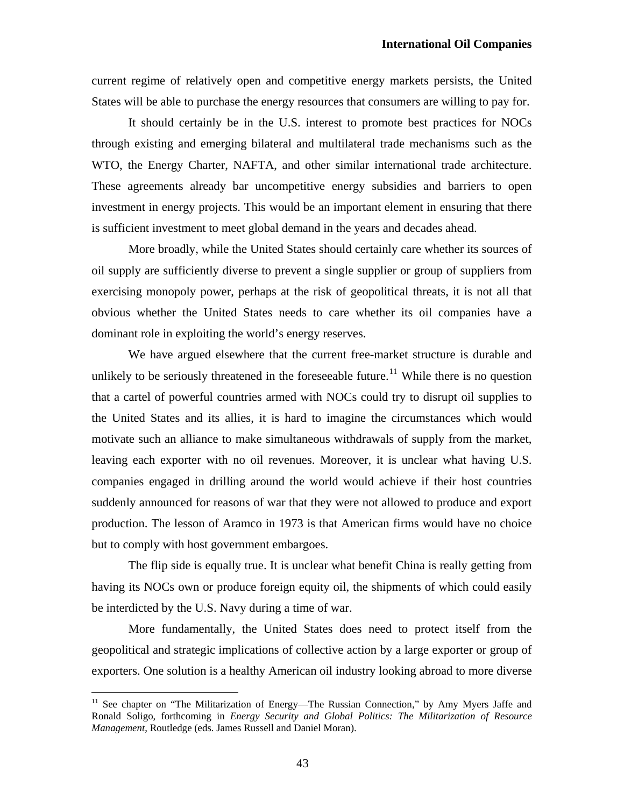current regime of relatively open and competitive energy markets persists, the United States will be able to purchase the energy resources that consumers are willing to pay for.

 It should certainly be in the U.S. interest to promote best practices for NOCs through existing and emerging bilateral and multilateral trade mechanisms such as the WTO, the Energy Charter, NAFTA, and other similar international trade architecture. These agreements already bar uncompetitive energy subsidies and barriers to open investment in energy projects. This would be an important element in ensuring that there is sufficient investment to meet global demand in the years and decades ahead.

 More broadly, while the United States should certainly care whether its sources of oil supply are sufficiently diverse to prevent a single supplier or group of suppliers from exercising monopoly power, perhaps at the risk of geopolitical threats, it is not all that obvious whether the United States needs to care whether its oil companies have a dominant role in exploiting the world's energy reserves.

 We have argued elsewhere that the current free-market structure is durable and unlikely to be seriously threatened in the foreseeable future.<sup>[11](#page-42-0)</sup> While there is no question that a cartel of powerful countries armed with NOCs could try to disrupt oil supplies to the United States and its allies, it is hard to imagine the circumstances which would motivate such an alliance to make simultaneous withdrawals of supply from the market, leaving each exporter with no oil revenues. Moreover, it is unclear what having U.S. companies engaged in drilling around the world would achieve if their host countries suddenly announced for reasons of war that they were not allowed to produce and export production. The lesson of Aramco in 1973 is that American firms would have no choice but to comply with host government embargoes.

The flip side is equally true. It is unclear what benefit China is really getting from having its NOCs own or produce foreign equity oil, the shipments of which could easily be interdicted by the U.S. Navy during a time of war.

More fundamentally, the United States does need to protect itself from the geopolitical and strategic implications of collective action by a large exporter or group of exporters. One solution is a healthy American oil industry looking abroad to more diverse

 $\overline{a}$ 

<span id="page-42-0"></span><sup>&</sup>lt;sup>11</sup> See chapter on "The Militarization of Energy—The Russian Connection," by Amy Myers Jaffe and Ronald Soligo, forthcoming in *Energy Security and Global Politics: The Militarization of Resource Management*, Routledge (eds. James Russell and Daniel Moran).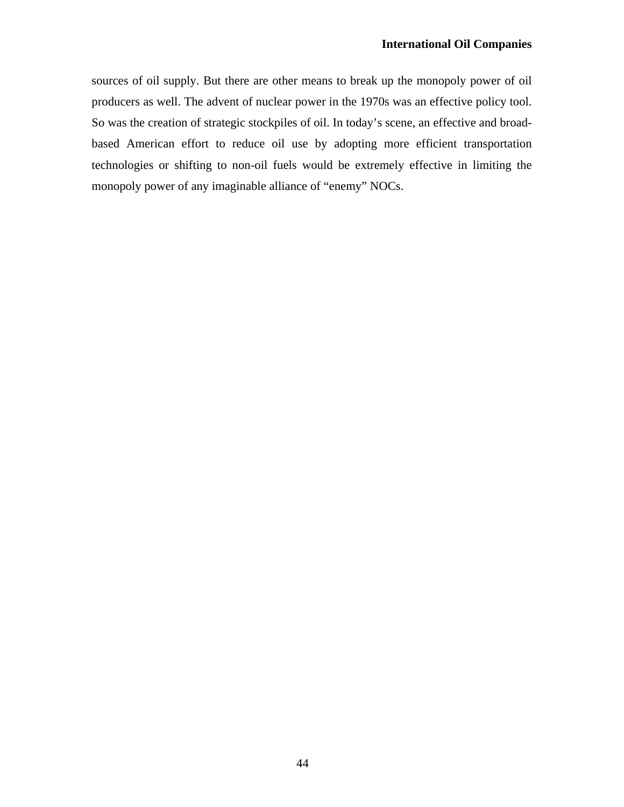sources of oil supply. But there are other means to break up the monopoly power of oil producers as well. The advent of nuclear power in the 1970s was an effective policy tool. So was the creation of strategic stockpiles of oil. In today's scene, an effective and broadbased American effort to reduce oil use by adopting more efficient transportation technologies or shifting to non-oil fuels would be extremely effective in limiting the monopoly power of any imaginable alliance of "enemy" NOCs.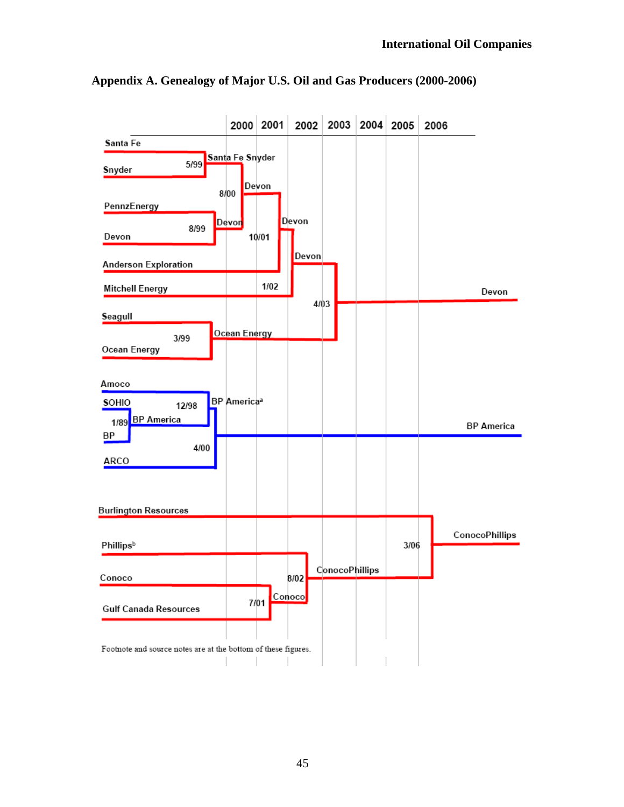

**Appendix A. Genealogy of Major U.S. Oil and Gas Producers (2000-2006)**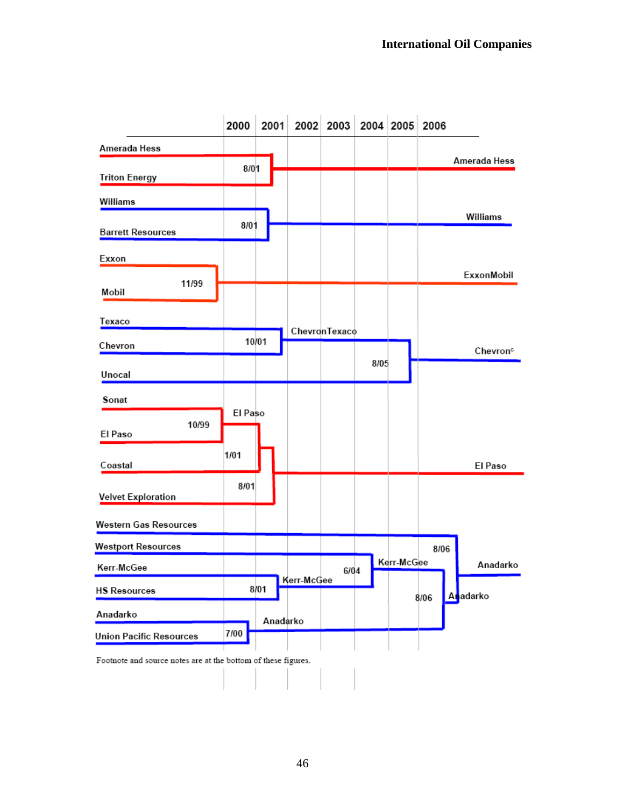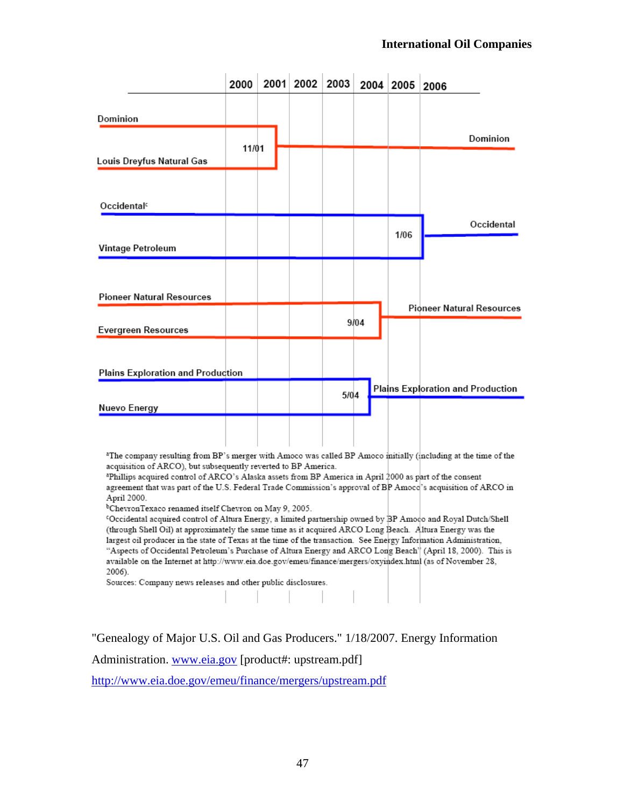|                                                                                                                                                                                              | 2000  | 2001 | 2002 | 2003 | 2004 | 2005 | 2006                              |
|----------------------------------------------------------------------------------------------------------------------------------------------------------------------------------------------|-------|------|------|------|------|------|-----------------------------------|
| Dominion                                                                                                                                                                                     |       |      |      |      |      |      |                                   |
|                                                                                                                                                                                              |       |      |      |      |      |      | Dominion                          |
| Louis Dreyfus Natural Gas                                                                                                                                                                    | 11/01 |      |      |      |      |      |                                   |
|                                                                                                                                                                                              |       |      |      |      |      |      |                                   |
| Occidental <sup>c</sup>                                                                                                                                                                      |       |      |      |      |      |      |                                   |
|                                                                                                                                                                                              |       |      |      |      |      | 1/06 | Occidental                        |
| Vintage Petroleum                                                                                                                                                                            |       |      |      |      |      |      |                                   |
|                                                                                                                                                                                              |       |      |      |      |      |      |                                   |
| <b>Pioneer Natural Resources</b>                                                                                                                                                             |       |      |      |      |      |      |                                   |
|                                                                                                                                                                                              |       |      |      |      | 9/04 |      | <b>Pioneer Natural Resources</b>  |
| <b>Evergreen Resources</b>                                                                                                                                                                   |       |      |      |      |      |      |                                   |
|                                                                                                                                                                                              |       |      |      |      |      |      |                                   |
| Plains Exploration and Production                                                                                                                                                            |       |      |      |      |      |      |                                   |
|                                                                                                                                                                                              |       |      |      | 5/04 |      |      | Plains Exploration and Production |
| Nuevo Energy                                                                                                                                                                                 |       |      |      |      |      |      |                                   |
|                                                                                                                                                                                              |       |      |      |      |      |      |                                   |
|                                                                                                                                                                                              |       |      |      |      |      |      |                                   |
| <sup>a</sup> The company resulting from BP's merger with Amoco was called BP Amoco initially (including at the time of the<br>acquisition of ARCO), but subsequently reverted to BP America. |       |      |      |      |      |      |                                   |

aphillips acquired control of ARCO's Alaska assets from BP America in April 2000 as part of the consent agreement that was part of the U.S. Federal Trade Commission's approval of BP Amoco's acquisition of ARCO in April 2000.

<sup>b</sup>ChevronTexaco renamed itself Chevron on May 9, 2005.

<sup>c</sup>Occidental acquired control of Altura Energy, a limited partnership owned by BP Amoco and Royal Dutch/Shell (through Shell Oil) at approximately the same time as it acquired ARCO Long Beach. Altura Energy was the largest oil producer in the state of Texas at the time of the transaction. See Energy Information Administration, "Aspects of Occidental Petroleum's Purchase of Altura Energy and ARCO Long Beach<sup>"</sup> (April 18, 2000). This is available on the Internet at http://www.eia.doe.gov/emeu/finance/mergers/oxyindex.html (as of November 28, 2006).

Sources: Company news releases and other public disclosures.

"Genealogy of Major U.S. Oil and Gas Producers." 1/18/2007. Energy Information

 $\frac{1}{2}$   $\frac{1}{2}$   $\frac{1}{2}$   $\frac{1}{2}$   $\frac{1}{2}$   $\frac{1}{2}$   $\frac{1}{2}$   $\frac{1}{2}$   $\frac{1}{2}$   $\frac{1}{2}$   $\frac{1}{2}$   $\frac{1}{2}$   $\frac{1}{2}$   $\frac{1}{2}$   $\frac{1}{2}$   $\frac{1}{2}$   $\frac{1}{2}$   $\frac{1}{2}$   $\frac{1}{2}$   $\frac{1}{2}$   $\frac{1}{2}$   $\frac{1}{2}$ 

Administration. [www.eia.gov](http://www.eia.gov/) [product#: upstream.pdf]

<http://www.eia.doe.gov/emeu/finance/mergers/upstream.pdf>